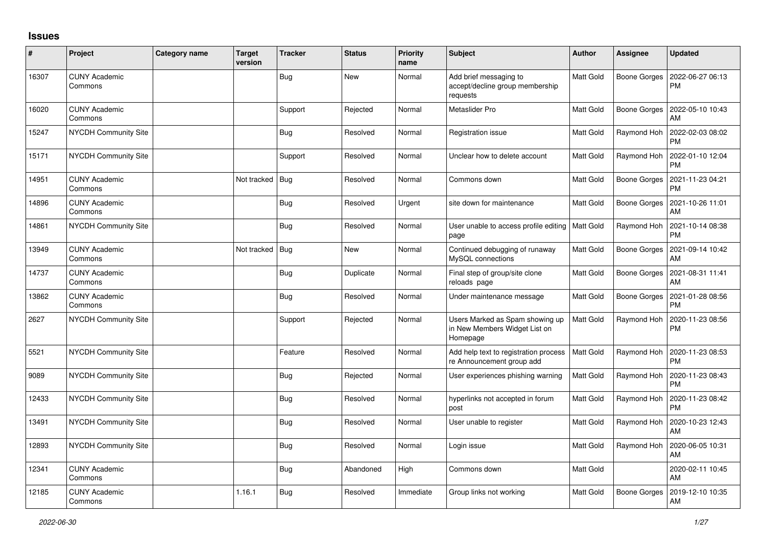## **Issues**

| #     | Project                         | <b>Category name</b> | <b>Target</b><br>version | <b>Tracker</b> | <b>Status</b> | <b>Priority</b><br>name | <b>Subject</b>                                                               | Author           | <b>Assignee</b>     | <b>Updated</b>                |
|-------|---------------------------------|----------------------|--------------------------|----------------|---------------|-------------------------|------------------------------------------------------------------------------|------------------|---------------------|-------------------------------|
| 16307 | <b>CUNY Academic</b><br>Commons |                      |                          | <b>Bug</b>     | <b>New</b>    | Normal                  | Add brief messaging to<br>accept/decline group membership<br>requests        | Matt Gold        | Boone Gorges        | 2022-06-27 06:13<br><b>PM</b> |
| 16020 | <b>CUNY Academic</b><br>Commons |                      |                          | Support        | Rejected      | Normal                  | Metaslider Pro                                                               | Matt Gold        | Boone Gorges        | 2022-05-10 10:43<br>AM        |
| 15247 | <b>NYCDH Community Site</b>     |                      |                          | <b>Bug</b>     | Resolved      | Normal                  | Registration issue                                                           | Matt Gold        | Raymond Hoh         | 2022-02-03 08:02<br><b>PM</b> |
| 15171 | <b>NYCDH Community Site</b>     |                      |                          | Support        | Resolved      | Normal                  | Unclear how to delete account                                                | <b>Matt Gold</b> | Raymond Hoh         | 2022-01-10 12:04<br><b>PM</b> |
| 14951 | <b>CUNY Academic</b><br>Commons |                      | Not tracked              | Bug            | Resolved      | Normal                  | Commons down                                                                 | Matt Gold        | Boone Gorges        | 2021-11-23 04:21<br><b>PM</b> |
| 14896 | <b>CUNY Academic</b><br>Commons |                      |                          | Bug            | Resolved      | Urgent                  | site down for maintenance                                                    | Matt Gold        | <b>Boone Gorges</b> | 2021-10-26 11:01<br>AM        |
| 14861 | <b>NYCDH Community Site</b>     |                      |                          | Bug            | Resolved      | Normal                  | User unable to access profile editing   Matt Gold<br>page                    |                  | Raymond Hoh         | 2021-10-14 08:38<br><b>PM</b> |
| 13949 | <b>CUNY Academic</b><br>Commons |                      | Not tracked              | Bug            | <b>New</b>    | Normal                  | Continued debugging of runaway<br>MySQL connections                          | <b>Matt Gold</b> | Boone Gorges        | 2021-09-14 10:42<br>AM        |
| 14737 | <b>CUNY Academic</b><br>Commons |                      |                          | <b>Bug</b>     | Duplicate     | Normal                  | Final step of group/site clone<br>reloads page                               | <b>Matt Gold</b> | Boone Gorges        | 2021-08-31 11:41<br>AM        |
| 13862 | <b>CUNY Academic</b><br>Commons |                      |                          | <b>Bug</b>     | Resolved      | Normal                  | Under maintenance message                                                    | Matt Gold        | Boone Gorges        | 2021-01-28 08:56<br><b>PM</b> |
| 2627  | NYCDH Community Site            |                      |                          | Support        | Rejected      | Normal                  | Users Marked as Spam showing up<br>in New Members Widget List on<br>Homepage | <b>Matt Gold</b> | Raymond Hoh         | 2020-11-23 08:56<br><b>PM</b> |
| 5521  | <b>NYCDH Community Site</b>     |                      |                          | Feature        | Resolved      | Normal                  | Add help text to registration process<br>re Announcement group add           | <b>Matt Gold</b> | Raymond Hoh         | 2020-11-23 08:53<br><b>PM</b> |
| 9089  | NYCDH Community Site            |                      |                          | <b>Bug</b>     | Rejected      | Normal                  | User experiences phishing warning                                            | Matt Gold        | Raymond Hoh         | 2020-11-23 08:43<br><b>PM</b> |
| 12433 | <b>NYCDH Community Site</b>     |                      |                          | <b>Bug</b>     | Resolved      | Normal                  | hyperlinks not accepted in forum<br>post                                     | Matt Gold        | Raymond Hoh         | 2020-11-23 08:42<br><b>PM</b> |
| 13491 | NYCDH Community Site            |                      |                          | <b>Bug</b>     | Resolved      | Normal                  | User unable to register                                                      | Matt Gold        | Raymond Hoh         | 2020-10-23 12:43<br>AM        |
| 12893 | <b>NYCDH Community Site</b>     |                      |                          | Bug            | Resolved      | Normal                  | Login issue                                                                  | Matt Gold        | Raymond Hoh         | 2020-06-05 10:31<br>AM        |
| 12341 | <b>CUNY Academic</b><br>Commons |                      |                          | Bug            | Abandoned     | High                    | Commons down                                                                 | Matt Gold        |                     | 2020-02-11 10:45<br>AM        |
| 12185 | <b>CUNY Academic</b><br>Commons |                      | 1.16.1                   | Bug            | Resolved      | Immediate               | Group links not working                                                      | Matt Gold        | <b>Boone Gorges</b> | 2019-12-10 10:35<br>AM        |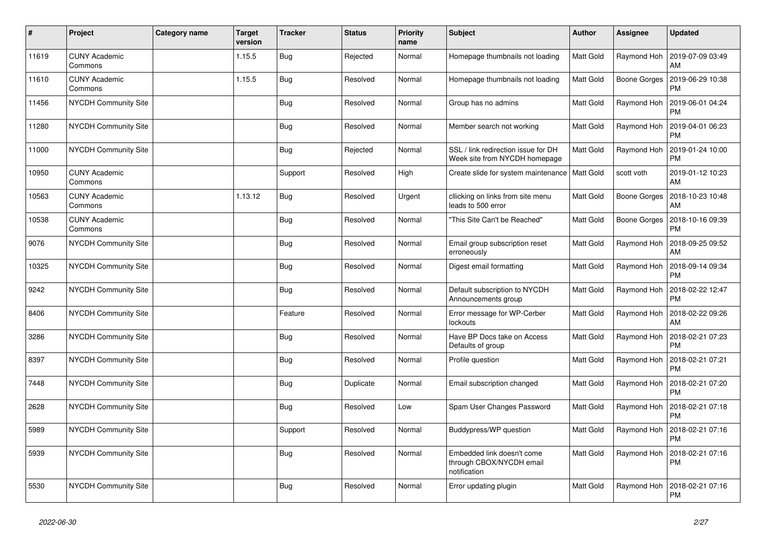| $\vert$ # | Project                         | Category name | <b>Target</b><br>version | Tracker    | <b>Status</b> | <b>Priority</b><br>name | <b>Subject</b>                                                         | <b>Author</b> | <b>Assignee</b> | <b>Updated</b>                |
|-----------|---------------------------------|---------------|--------------------------|------------|---------------|-------------------------|------------------------------------------------------------------------|---------------|-----------------|-------------------------------|
| 11619     | <b>CUNY Academic</b><br>Commons |               | 1.15.5                   | <b>Bug</b> | Rejected      | Normal                  | Homepage thumbnails not loading                                        | Matt Gold     | Raymond Hoh     | 2019-07-09 03:49<br>AM        |
| 11610     | <b>CUNY Academic</b><br>Commons |               | 1.15.5                   | Bug        | Resolved      | Normal                  | Homepage thumbnails not loading                                        | Matt Gold     | Boone Gorges    | 2019-06-29 10:38<br><b>PM</b> |
| 11456     | <b>NYCDH Community Site</b>     |               |                          | Bug        | Resolved      | Normal                  | Group has no admins                                                    | Matt Gold     | Raymond Hoh     | 2019-06-01 04:24<br><b>PM</b> |
| 11280     | NYCDH Community Site            |               |                          | <b>Bug</b> | Resolved      | Normal                  | Member search not working                                              | Matt Gold     | Raymond Hoh     | 2019-04-01 06:23<br><b>PM</b> |
| 11000     | NYCDH Community Site            |               |                          | <b>Bug</b> | Rejected      | Normal                  | SSL / link redirection issue for DH<br>Week site from NYCDH homepage   | Matt Gold     | Raymond Hoh     | 2019-01-24 10:00<br><b>PM</b> |
| 10950     | <b>CUNY Academic</b><br>Commons |               |                          | Support    | Resolved      | High                    | Create slide for system maintenance                                    | Matt Gold     | scott voth      | 2019-01-12 10:23<br>AM        |
| 10563     | <b>CUNY Academic</b><br>Commons |               | 1.13.12                  | <b>Bug</b> | Resolved      | Urgent                  | cllicking on links from site menu<br>leads to 500 error                | Matt Gold     | Boone Gorges    | 2018-10-23 10:48<br>AM        |
| 10538     | <b>CUNY Academic</b><br>Commons |               |                          | <b>Bug</b> | Resolved      | Normal                  | 'This Site Can't be Reached"                                           | Matt Gold     | Boone Gorges    | 2018-10-16 09:39<br><b>PM</b> |
| 9076      | <b>NYCDH Community Site</b>     |               |                          | Bug        | Resolved      | Normal                  | Email group subscription reset<br>erroneously                          | Matt Gold     | Raymond Hoh     | 2018-09-25 09:52<br>AM        |
| 10325     | NYCDH Community Site            |               |                          | <b>Bug</b> | Resolved      | Normal                  | Digest email formatting                                                | Matt Gold     | Raymond Hoh     | 2018-09-14 09:34<br><b>PM</b> |
| 9242      | NYCDH Community Site            |               |                          | Bug        | Resolved      | Normal                  | Default subscription to NYCDH<br>Announcements group                   | Matt Gold     | Raymond Hoh     | 2018-02-22 12:47<br>PM        |
| 8406      | NYCDH Community Site            |               |                          | Feature    | Resolved      | Normal                  | Error message for WP-Cerber<br>lockouts                                | Matt Gold     | Raymond Hoh     | 2018-02-22 09:26<br>AM        |
| 3286      | <b>NYCDH Community Site</b>     |               |                          | <b>Bug</b> | Resolved      | Normal                  | Have BP Docs take on Access<br>Defaults of group                       | Matt Gold     | Raymond Hoh     | 2018-02-21 07:23<br><b>PM</b> |
| 8397      | NYCDH Community Site            |               |                          | Bug        | Resolved      | Normal                  | Profile question                                                       | Matt Gold     | Raymond Hoh     | 2018-02-21 07:21<br><b>PM</b> |
| 7448      | NYCDH Community Site            |               |                          | <b>Bug</b> | Duplicate     | Normal                  | Email subscription changed                                             | Matt Gold     | Raymond Hoh     | 2018-02-21 07:20<br><b>PM</b> |
| 2628      | NYCDH Community Site            |               |                          | <b>Bug</b> | Resolved      | Low                     | Spam User Changes Password                                             | Matt Gold     | Raymond Hoh     | 2018-02-21 07:18<br><b>PM</b> |
| 5989      | NYCDH Community Site            |               |                          | Support    | Resolved      | Normal                  | Buddypress/WP question                                                 | Matt Gold     | Raymond Hoh     | 2018-02-21 07:16<br><b>PM</b> |
| 5939      | NYCDH Community Site            |               |                          | Bug        | Resolved      | Normal                  | Embedded link doesn't come<br>through CBOX/NYCDH email<br>notification | Matt Gold     | Raymond Hoh     | 2018-02-21 07:16<br><b>PM</b> |
| 5530      | <b>NYCDH Community Site</b>     |               |                          | <b>Bug</b> | Resolved      | Normal                  | Error updating plugin                                                  | Matt Gold     | Raymond Hoh     | 2018-02-21 07:16<br><b>PM</b> |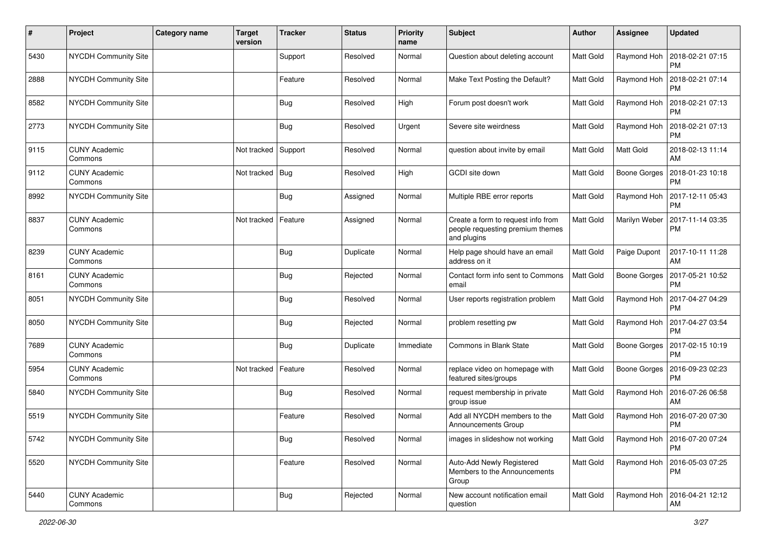| #    | Project                         | <b>Category name</b> | <b>Target</b><br>version | <b>Tracker</b> | <b>Status</b> | <b>Priority</b><br>name | Subject                                                                               | Author           | <b>Assignee</b>     | <b>Updated</b>                               |
|------|---------------------------------|----------------------|--------------------------|----------------|---------------|-------------------------|---------------------------------------------------------------------------------------|------------------|---------------------|----------------------------------------------|
| 5430 | <b>NYCDH Community Site</b>     |                      |                          | Support        | Resolved      | Normal                  | Question about deleting account                                                       | Matt Gold        | Raymond Hoh         | 2018-02-21 07:15<br>PM                       |
| 2888 | <b>NYCDH Community Site</b>     |                      |                          | Feature        | Resolved      | Normal                  | Make Text Posting the Default?                                                        | Matt Gold        | Raymond Hoh         | 2018-02-21 07:14<br><b>PM</b>                |
| 8582 | <b>NYCDH Community Site</b>     |                      |                          | <b>Bug</b>     | Resolved      | High                    | Forum post doesn't work                                                               | Matt Gold        | Raymond Hoh         | 2018-02-21 07:13<br>PM                       |
| 2773 | <b>NYCDH Community Site</b>     |                      |                          | Bug            | Resolved      | Urgent                  | Severe site weirdness                                                                 | <b>Matt Gold</b> | Raymond Hoh         | 2018-02-21 07:13<br><b>PM</b>                |
| 9115 | <b>CUNY Academic</b><br>Commons |                      | Not tracked              | Support        | Resolved      | Normal                  | question about invite by email                                                        | Matt Gold        | Matt Gold           | 2018-02-13 11:14<br>AM                       |
| 9112 | <b>CUNY Academic</b><br>Commons |                      | Not tracked              | Bug            | Resolved      | High                    | GCDI site down                                                                        | Matt Gold        |                     | Boone Gorges   2018-01-23 10:18<br><b>PM</b> |
| 8992 | <b>NYCDH Community Site</b>     |                      |                          | <b>Bug</b>     | Assigned      | Normal                  | Multiple RBE error reports                                                            | <b>Matt Gold</b> | Raymond Hoh         | 2017-12-11 05:43<br><b>PM</b>                |
| 8837 | <b>CUNY Academic</b><br>Commons |                      | Not tracked              | Feature        | Assigned      | Normal                  | Create a form to request info from<br>people requesting premium themes<br>and plugins | Matt Gold        | Marilyn Weber       | 2017-11-14 03:35<br><b>PM</b>                |
| 8239 | <b>CUNY Academic</b><br>Commons |                      |                          | Bug            | Duplicate     | Normal                  | Help page should have an email<br>address on it                                       | Matt Gold        | Paige Dupont        | 2017-10-11 11:28<br>AM                       |
| 8161 | <b>CUNY Academic</b><br>Commons |                      |                          | Bug            | Rejected      | Normal                  | Contact form info sent to Commons<br>email                                            | <b>Matt Gold</b> | <b>Boone Gorges</b> | 2017-05-21 10:52<br><b>PM</b>                |
| 8051 | <b>NYCDH Community Site</b>     |                      |                          | Bug            | Resolved      | Normal                  | User reports registration problem                                                     | Matt Gold        | Raymond Hoh         | 2017-04-27 04:29<br><b>PM</b>                |
| 8050 | <b>NYCDH Community Site</b>     |                      |                          | Bug            | Rejected      | Normal                  | problem resetting pw                                                                  | <b>Matt Gold</b> | Raymond Hoh         | 2017-04-27 03:54<br><b>PM</b>                |
| 7689 | <b>CUNY Academic</b><br>Commons |                      |                          | Bug            | Duplicate     | Immediate               | <b>Commons in Blank State</b>                                                         | Matt Gold        | Boone Gorges        | 2017-02-15 10:19<br><b>PM</b>                |
| 5954 | <b>CUNY Academic</b><br>Commons |                      | Not tracked              | Feature        | Resolved      | Normal                  | replace video on homepage with<br>featured sites/groups                               | Matt Gold        | <b>Boone Gorges</b> | 2016-09-23 02:23<br><b>PM</b>                |
| 5840 | <b>NYCDH Community Site</b>     |                      |                          | Bug            | Resolved      | Normal                  | request membership in private<br>group issue                                          | Matt Gold        | Raymond Hoh         | 2016-07-26 06:58<br>AM                       |
| 5519 | <b>NYCDH Community Site</b>     |                      |                          | Feature        | Resolved      | Normal                  | Add all NYCDH members to the<br>Announcements Group                                   | Matt Gold        | Raymond Hoh         | 2016-07-20 07:30<br><b>PM</b>                |
| 5742 | NYCDH Community Site            |                      |                          | Bug            | Resolved      | Normal                  | images in slideshow not working                                                       | Matt Gold        |                     | Raymond Hoh   2016-07-20 07:24<br>PM         |
| 5520 | NYCDH Community Site            |                      |                          | Feature        | Resolved      | Normal                  | Auto-Add Newly Registered<br>Members to the Announcements<br>Group                    | Matt Gold        |                     | Raymond Hoh 2016-05-03 07:25<br><b>PM</b>    |
| 5440 | <b>CUNY Academic</b><br>Commons |                      |                          | <b>Bug</b>     | Rejected      | Normal                  | New account notification email<br>question                                            | Matt Gold        | Raymond Hoh         | 2016-04-21 12:12<br>AM                       |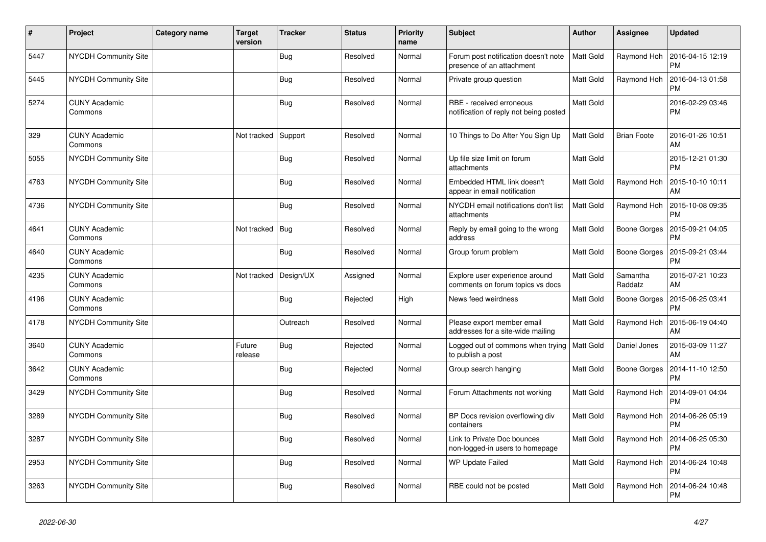| $\vert$ # | Project                         | Category name | <b>Target</b><br>version | <b>Tracker</b> | <b>Status</b> | <b>Priority</b><br>name | <b>Subject</b>                                                     | Author           | Assignee            | <b>Updated</b>                |
|-----------|---------------------------------|---------------|--------------------------|----------------|---------------|-------------------------|--------------------------------------------------------------------|------------------|---------------------|-------------------------------|
| 5447      | <b>NYCDH Community Site</b>     |               |                          | <b>Bug</b>     | Resolved      | Normal                  | Forum post notification doesn't note<br>presence of an attachment  | Matt Gold        | Raymond Hoh         | 2016-04-15 12:19<br><b>PM</b> |
| 5445      | <b>NYCDH Community Site</b>     |               |                          | <b>Bug</b>     | Resolved      | Normal                  | Private group question                                             | Matt Gold        | Raymond Hoh         | 2016-04-13 01:58<br>PM        |
| 5274      | <b>CUNY Academic</b><br>Commons |               |                          | Bug            | Resolved      | Normal                  | RBE - received erroneous<br>notification of reply not being posted | Matt Gold        |                     | 2016-02-29 03:46<br><b>PM</b> |
| 329       | <b>CUNY Academic</b><br>Commons |               | Not tracked              | Support        | Resolved      | Normal                  | 10 Things to Do After You Sign Up                                  | Matt Gold        | <b>Brian Foote</b>  | 2016-01-26 10:51<br>AM        |
| 5055      | <b>NYCDH Community Site</b>     |               |                          | Bug            | Resolved      | Normal                  | Up file size limit on forum<br>attachments                         | Matt Gold        |                     | 2015-12-21 01:30<br><b>PM</b> |
| 4763      | NYCDH Community Site            |               |                          | Bug            | Resolved      | Normal                  | Embedded HTML link doesn't<br>appear in email notification         | Matt Gold        | Raymond Hoh         | 2015-10-10 10:11<br>AM        |
| 4736      | NYCDH Community Site            |               |                          | <b>Bug</b>     | Resolved      | Normal                  | NYCDH email notifications don't list<br>attachments                | <b>Matt Gold</b> | Raymond Hoh         | 2015-10-08 09:35<br>PM        |
| 4641      | <b>CUNY Academic</b><br>Commons |               | Not tracked              | Bug            | Resolved      | Normal                  | Reply by email going to the wrong<br>address                       | Matt Gold        | Boone Gorges        | 2015-09-21 04:05<br><b>PM</b> |
| 4640      | <b>CUNY Academic</b><br>Commons |               |                          | Bug            | Resolved      | Normal                  | Group forum problem                                                | Matt Gold        | Boone Gorges        | 2015-09-21 03:44<br>PM        |
| 4235      | <b>CUNY Academic</b><br>Commons |               | Not tracked              | Design/UX      | Assigned      | Normal                  | Explore user experience around<br>comments on forum topics vs docs | Matt Gold        | Samantha<br>Raddatz | 2015-07-21 10:23<br>AM        |
| 4196      | <b>CUNY Academic</b><br>Commons |               |                          | <b>Bug</b>     | Rejected      | High                    | News feed weirdness                                                | Matt Gold        | Boone Gorges        | 2015-06-25 03:41<br><b>PM</b> |
| 4178      | <b>NYCDH Community Site</b>     |               |                          | Outreach       | Resolved      | Normal                  | Please export member email<br>addresses for a site-wide mailing    | Matt Gold        | Raymond Hoh         | 2015-06-19 04:40<br>AM        |
| 3640      | <b>CUNY Academic</b><br>Commons |               | Future<br>release        | <b>Bug</b>     | Rejected      | Normal                  | Logged out of commons when trying<br>to publish a post             | <b>Matt Gold</b> | Daniel Jones        | 2015-03-09 11:27<br>AM        |
| 3642      | <b>CUNY Academic</b><br>Commons |               |                          | Bug            | Rejected      | Normal                  | Group search hanging                                               | Matt Gold        | Boone Gorges        | 2014-11-10 12:50<br><b>PM</b> |
| 3429      | NYCDH Community Site            |               |                          | <b>Bug</b>     | Resolved      | Normal                  | Forum Attachments not working                                      | Matt Gold        | Raymond Hoh         | 2014-09-01 04:04<br><b>PM</b> |
| 3289      | <b>NYCDH Community Site</b>     |               |                          | Bug            | Resolved      | Normal                  | BP Docs revision overflowing div<br>containers                     | Matt Gold        | Raymond Hoh         | 2014-06-26 05:19<br>PM        |
| 3287      | <b>NYCDH Community Site</b>     |               |                          | Bug            | Resolved      | Normal                  | Link to Private Doc bounces<br>non-logged-in users to homepage     | Matt Gold        | Raymond Hoh         | 2014-06-25 05:30<br><b>PM</b> |
| 2953      | NYCDH Community Site            |               |                          | <b>Bug</b>     | Resolved      | Normal                  | <b>WP Update Failed</b>                                            | Matt Gold        | Raymond Hoh         | 2014-06-24 10:48<br><b>PM</b> |
| 3263      | <b>NYCDH Community Site</b>     |               |                          | <b>Bug</b>     | Resolved      | Normal                  | RBE could not be posted                                            | Matt Gold        | Raymond Hoh         | 2014-06-24 10:48<br><b>PM</b> |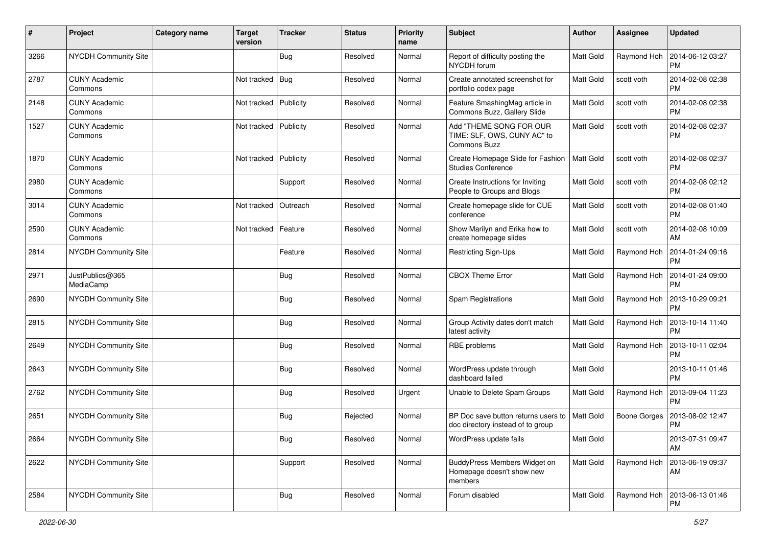| #    | Project                         | <b>Category name</b> | <b>Target</b><br>version | <b>Tracker</b> | <b>Status</b> | <b>Priority</b><br>name | <b>Subject</b>                                                                | Author           | Assignee     | <b>Updated</b>                |
|------|---------------------------------|----------------------|--------------------------|----------------|---------------|-------------------------|-------------------------------------------------------------------------------|------------------|--------------|-------------------------------|
| 3266 | NYCDH Community Site            |                      |                          | Bug            | Resolved      | Normal                  | Report of difficulty posting the<br>NYCDH forum                               | Matt Gold        | Raymond Hoh  | 2014-06-12 03:27<br><b>PM</b> |
| 2787 | <b>CUNY Academic</b><br>Commons |                      | Not tracked              | Bug            | Resolved      | Normal                  | Create annotated screenshot for<br>portfolio codex page                       | <b>Matt Gold</b> | scott voth   | 2014-02-08 02:38<br><b>PM</b> |
| 2148 | <b>CUNY Academic</b><br>Commons |                      | Not tracked              | Publicity      | Resolved      | Normal                  | Feature SmashingMag article in<br>Commons Buzz, Gallery Slide                 | Matt Gold        | scott voth   | 2014-02-08 02:38<br><b>PM</b> |
| 1527 | <b>CUNY Academic</b><br>Commons |                      | Not tracked              | Publicity      | Resolved      | Normal                  | Add "THEME SONG FOR OUR<br>TIME: SLF, OWS, CUNY AC" to<br><b>Commons Buzz</b> | <b>Matt Gold</b> | scott voth   | 2014-02-08 02:37<br><b>PM</b> |
| 1870 | <b>CUNY Academic</b><br>Commons |                      | Not tracked              | Publicity      | Resolved      | Normal                  | Create Homepage Slide for Fashion<br><b>Studies Conference</b>                | Matt Gold        | scott voth   | 2014-02-08 02:37<br><b>PM</b> |
| 2980 | <b>CUNY Academic</b><br>Commons |                      |                          | Support        | Resolved      | Normal                  | Create Instructions for Inviting<br>People to Groups and Blogs                | <b>Matt Gold</b> | scott voth   | 2014-02-08 02:12<br><b>PM</b> |
| 3014 | <b>CUNY Academic</b><br>Commons |                      | Not tracked              | Outreach       | Resolved      | Normal                  | Create homepage slide for CUE<br>conference                                   | Matt Gold        | scott voth   | 2014-02-08 01:40<br><b>PM</b> |
| 2590 | <b>CUNY Academic</b><br>Commons |                      | Not tracked              | Feature        | Resolved      | Normal                  | Show Marilyn and Erika how to<br>create homepage slides                       | <b>Matt Gold</b> | scott voth   | 2014-02-08 10:09<br>AM        |
| 2814 | NYCDH Community Site            |                      |                          | Feature        | Resolved      | Normal                  | Restricting Sign-Ups                                                          | <b>Matt Gold</b> | Raymond Hoh  | 2014-01-24 09:16<br><b>PM</b> |
| 2971 | JustPublics@365<br>MediaCamp    |                      |                          | <b>Bug</b>     | Resolved      | Normal                  | <b>CBOX Theme Error</b>                                                       | <b>Matt Gold</b> | Raymond Hoh  | 2014-01-24 09:00<br><b>PM</b> |
| 2690 | NYCDH Community Site            |                      |                          | <b>Bug</b>     | Resolved      | Normal                  | Spam Registrations                                                            | Matt Gold        | Raymond Hoh  | 2013-10-29 09:21<br><b>PM</b> |
| 2815 | NYCDH Community Site            |                      |                          | Bug            | Resolved      | Normal                  | Group Activity dates don't match<br>latest activity                           | <b>Matt Gold</b> | Raymond Hoh  | 2013-10-14 11:40<br><b>PM</b> |
| 2649 | NYCDH Community Site            |                      |                          | <b>Bug</b>     | Resolved      | Normal                  | RBE problems                                                                  | Matt Gold        | Raymond Hoh  | 2013-10-11 02:04<br><b>PM</b> |
| 2643 | NYCDH Community Site            |                      |                          | <b>Bug</b>     | Resolved      | Normal                  | WordPress update through<br>dashboard failed                                  | <b>Matt Gold</b> |              | 2013-10-11 01:46<br><b>PM</b> |
| 2762 | NYCDH Community Site            |                      |                          | Bug            | Resolved      | Urgent                  | Unable to Delete Spam Groups                                                  | <b>Matt Gold</b> | Raymond Hoh  | 2013-09-04 11:23<br><b>PM</b> |
| 2651 | NYCDH Community Site            |                      |                          | <b>Bug</b>     | Rejected      | Normal                  | BP Doc save button returns users to<br>doc directory instead of to group      | Matt Gold        | Boone Gorges | 2013-08-02 12:47<br><b>PM</b> |
| 2664 | NYCDH Community Site            |                      |                          | Bug            | Resolved      | Normal                  | WordPress update fails                                                        | Matt Gold        |              | 2013-07-31 09:47<br>AM        |
| 2622 | NYCDH Community Site            |                      |                          | Support        | Resolved      | Normal                  | BuddyPress Members Widget on<br>Homepage doesn't show new<br>members          | Matt Gold        | Raymond Hoh  | 2013-06-19 09:37<br>AM        |
| 2584 | NYCDH Community Site            |                      |                          | <b>Bug</b>     | Resolved      | Normal                  | Forum disabled                                                                | Matt Gold        | Raymond Hoh  | 2013-06-13 01:46<br>PM        |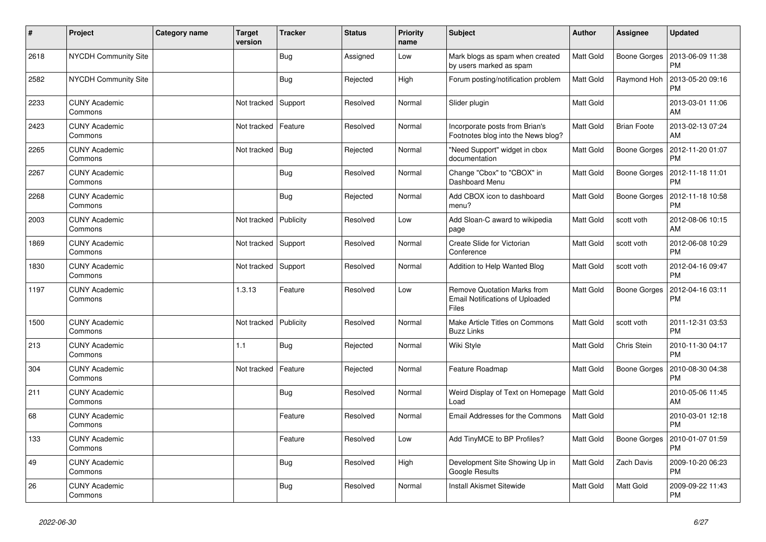| $\pmb{\sharp}$ | Project                         | Category name | <b>Target</b><br>version | <b>Tracker</b> | <b>Status</b> | <b>Priority</b><br>name | <b>Subject</b>                                                                        | <b>Author</b>    | Assignee            | <b>Updated</b>                |
|----------------|---------------------------------|---------------|--------------------------|----------------|---------------|-------------------------|---------------------------------------------------------------------------------------|------------------|---------------------|-------------------------------|
| 2618           | <b>NYCDH Community Site</b>     |               |                          | Bug            | Assigned      | Low                     | Mark blogs as spam when created<br>by users marked as spam                            | <b>Matt Gold</b> | Boone Gorges        | 2013-06-09 11:38<br>PM        |
| 2582           | <b>NYCDH Community Site</b>     |               |                          | Bug            | Rejected      | High                    | Forum posting/notification problem                                                    | Matt Gold        | Raymond Hoh         | 2013-05-20 09:16<br><b>PM</b> |
| 2233           | <b>CUNY Academic</b><br>Commons |               | Not tracked              | Support        | Resolved      | Normal                  | Slider plugin                                                                         | Matt Gold        |                     | 2013-03-01 11:06<br>AM        |
| 2423           | <b>CUNY Academic</b><br>Commons |               | Not tracked              | Feature        | Resolved      | Normal                  | Incorporate posts from Brian's<br>Footnotes blog into the News blog?                  | Matt Gold        | <b>Brian Foote</b>  | 2013-02-13 07:24<br>AM        |
| 2265           | <b>CUNY Academic</b><br>Commons |               | Not tracked              | Bug            | Rejected      | Normal                  | "Need Support" widget in cbox<br>documentation                                        | Matt Gold        | Boone Gorges        | 2012-11-20 01:07<br><b>PM</b> |
| 2267           | <b>CUNY Academic</b><br>Commons |               |                          | Bug            | Resolved      | Normal                  | Change "Cbox" to "CBOX" in<br>Dashboard Menu                                          | Matt Gold        | Boone Gorges        | 2012-11-18 11:01<br><b>PM</b> |
| 2268           | <b>CUNY Academic</b><br>Commons |               |                          | Bug            | Rejected      | Normal                  | Add CBOX icon to dashboard<br>menu?                                                   | Matt Gold        | Boone Gorges        | 2012-11-18 10:58<br><b>PM</b> |
| 2003           | <b>CUNY Academic</b><br>Commons |               | Not tracked              | Publicity      | Resolved      | Low                     | Add Sloan-C award to wikipedia<br>page                                                | Matt Gold        | scott voth          | 2012-08-06 10:15<br>AM        |
| 1869           | CUNY Academic<br>Commons        |               | Not tracked              | Support        | Resolved      | Normal                  | Create Slide for Victorian<br>Conference                                              | Matt Gold        | scott voth          | 2012-06-08 10:29<br><b>PM</b> |
| 1830           | <b>CUNY Academic</b><br>Commons |               | Not tracked   Support    |                | Resolved      | Normal                  | Addition to Help Wanted Blog                                                          | Matt Gold        | scott voth          | 2012-04-16 09:47<br><b>PM</b> |
| 1197           | <b>CUNY Academic</b><br>Commons |               | 1.3.13                   | Feature        | Resolved      | Low                     | <b>Remove Quotation Marks from</b><br><b>Email Notifications of Uploaded</b><br>Files | Matt Gold        | <b>Boone Gorges</b> | 2012-04-16 03:11<br><b>PM</b> |
| 1500           | <b>CUNY Academic</b><br>Commons |               | Not tracked              | Publicity      | Resolved      | Normal                  | Make Article Titles on Commons<br><b>Buzz Links</b>                                   | Matt Gold        | scott voth          | 2011-12-31 03:53<br><b>PM</b> |
| 213            | <b>CUNY Academic</b><br>Commons |               | 1.1                      | Bug            | Rejected      | Normal                  | Wiki Style                                                                            | Matt Gold        | Chris Stein         | 2010-11-30 04:17<br><b>PM</b> |
| 304            | <b>CUNY Academic</b><br>Commons |               | Not tracked              | Feature        | Rejected      | Normal                  | Feature Roadmap                                                                       | Matt Gold        | Boone Gorges        | 2010-08-30 04:38<br><b>PM</b> |
| 211            | <b>CUNY Academic</b><br>Commons |               |                          | <b>Bug</b>     | Resolved      | Normal                  | Weird Display of Text on Homepage<br>Load                                             | Matt Gold        |                     | 2010-05-06 11:45<br>AM        |
| 68             | <b>CUNY Academic</b><br>Commons |               |                          | Feature        | Resolved      | Normal                  | <b>Email Addresses for the Commons</b>                                                | Matt Gold        |                     | 2010-03-01 12:18<br><b>PM</b> |
| 133            | <b>CUNY Academic</b><br>Commons |               |                          | Feature        | Resolved      | Low                     | Add TinyMCE to BP Profiles?                                                           | Matt Gold        | Boone Gorges        | 2010-01-07 01:59<br><b>PM</b> |
| 49             | <b>CUNY Academic</b><br>Commons |               |                          | Bug            | Resolved      | High                    | Development Site Showing Up in<br>Google Results                                      | Matt Gold        | Zach Davis          | 2009-10-20 06:23<br><b>PM</b> |
| 26             | <b>CUNY Academic</b><br>Commons |               |                          | Bug            | Resolved      | Normal                  | <b>Install Akismet Sitewide</b>                                                       | Matt Gold        | Matt Gold           | 2009-09-22 11:43<br><b>PM</b> |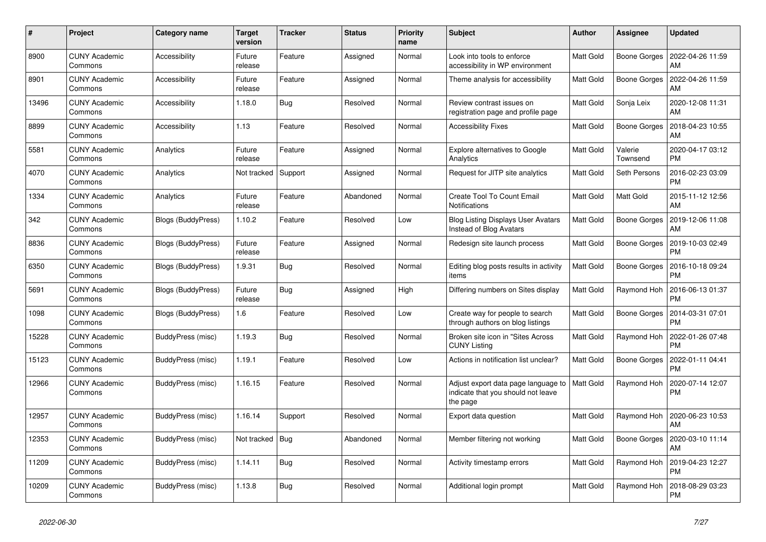| #     | Project                         | <b>Category name</b> | <b>Target</b><br>version | <b>Tracker</b> | <b>Status</b> | <b>Priority</b><br>name | <b>Subject</b>                                                                        | <b>Author</b>    | <b>Assignee</b>     | <b>Updated</b>                |
|-------|---------------------------------|----------------------|--------------------------|----------------|---------------|-------------------------|---------------------------------------------------------------------------------------|------------------|---------------------|-------------------------------|
| 8900  | <b>CUNY Academic</b><br>Commons | Accessibility        | Future<br>release        | Feature        | Assigned      | Normal                  | Look into tools to enforce<br>accessibility in WP environment                         | <b>Matt Gold</b> | Boone Gorges        | 2022-04-26 11:59<br>AM        |
| 8901  | <b>CUNY Academic</b><br>Commons | <b>Accessibility</b> | Future<br>release        | Feature        | Assigned      | Normal                  | Theme analysis for accessibility                                                      | Matt Gold        | Boone Gorges        | 2022-04-26 11:59<br>AM        |
| 13496 | <b>CUNY Academic</b><br>Commons | Accessibility        | 1.18.0                   | Bug            | Resolved      | Normal                  | Review contrast issues on<br>registration page and profile page                       | Matt Gold        | Sonja Leix          | 2020-12-08 11:31<br>AM        |
| 8899  | <b>CUNY Academic</b><br>Commons | Accessibility        | 1.13                     | Feature        | Resolved      | Normal                  | <b>Accessibility Fixes</b>                                                            | Matt Gold        | Boone Gorges        | 2018-04-23 10:55<br>AM        |
| 5581  | <b>CUNY Academic</b><br>Commons | Analytics            | Future<br>release        | Feature        | Assigned      | Normal                  | Explore alternatives to Google<br>Analytics                                           | Matt Gold        | Valerie<br>Townsend | 2020-04-17 03:12<br>PМ        |
| 4070  | <b>CUNY Academic</b><br>Commons | Analytics            | Not tracked              | Support        | Assigned      | Normal                  | Request for JITP site analytics                                                       | Matt Gold        | Seth Persons        | 2016-02-23 03:09<br>PM        |
| 1334  | <b>CUNY Academic</b><br>Commons | Analytics            | Future<br>release        | Feature        | Abandoned     | Normal                  | Create Tool To Count Email<br>Notifications                                           | Matt Gold        | Matt Gold           | 2015-11-12 12:56<br>AM        |
| 342   | <b>CUNY Academic</b><br>Commons | Blogs (BuddyPress)   | 1.10.2                   | Feature        | Resolved      | Low                     | <b>Blog Listing Displays User Avatars</b><br>Instead of Blog Avatars                  | Matt Gold        | Boone Gorges        | 2019-12-06 11:08<br>AM        |
| 8836  | <b>CUNY Academic</b><br>Commons | Blogs (BuddyPress)   | Future<br>release        | Feature        | Assigned      | Normal                  | Redesign site launch process                                                          | Matt Gold        | Boone Gorges        | 2019-10-03 02:49<br>PМ        |
| 6350  | <b>CUNY Academic</b><br>Commons | Blogs (BuddyPress)   | 1.9.31                   | Bug            | Resolved      | Normal                  | Editing blog posts results in activity<br>items                                       | Matt Gold        | Boone Gorges        | 2016-10-18 09:24<br><b>PM</b> |
| 5691  | <b>CUNY Academic</b><br>Commons | Blogs (BuddyPress)   | Future<br>release        | <b>Bug</b>     | Assigned      | High                    | Differing numbers on Sites display                                                    | Matt Gold        | Raymond Hoh         | 2016-06-13 01:37<br>PM        |
| 1098  | <b>CUNY Academic</b><br>Commons | Blogs (BuddyPress)   | 1.6                      | Feature        | Resolved      | Low                     | Create way for people to search<br>through authors on blog listings                   | Matt Gold        | Boone Gorges        | 2014-03-31 07:01<br>PМ        |
| 15228 | <b>CUNY Academic</b><br>Commons | BuddyPress (misc)    | 1.19.3                   | Bug            | Resolved      | Normal                  | Broken site icon in "Sites Across<br><b>CUNY Listing</b>                              | Matt Gold        | Raymond Hoh         | 2022-01-26 07:48<br>PM        |
| 15123 | <b>CUNY Academic</b><br>Commons | BuddyPress (misc)    | 1.19.1                   | Feature        | Resolved      | Low                     | Actions in notification list unclear?                                                 | Matt Gold        | Boone Gorges        | 2022-01-11 04:41<br><b>PM</b> |
| 12966 | <b>CUNY Academic</b><br>Commons | BuddyPress (misc)    | 1.16.15                  | Feature        | Resolved      | Normal                  | Adjust export data page language to<br>indicate that you should not leave<br>the page | <b>Matt Gold</b> | Raymond Hoh         | 2020-07-14 12:07<br>PM        |
| 12957 | <b>CUNY Academic</b><br>Commons | BuddyPress (misc)    | 1.16.14                  | Support        | Resolved      | Normal                  | Export data question                                                                  | Matt Gold        | Raymond Hoh         | 2020-06-23 10:53<br>AM        |
| 12353 | <b>CUNY Academic</b><br>Commons | BuddyPress (misc)    | Not tracked              | Bug            | Abandoned     | Normal                  | Member filtering not working                                                          | Matt Gold        | Boone Gorges        | 2020-03-10 11:14<br>AM        |
| 11209 | <b>CUNY Academic</b><br>Commons | BuddyPress (misc)    | 1.14.11                  | <b>Bug</b>     | Resolved      | Normal                  | Activity timestamp errors                                                             | Matt Gold        | Raymond Hoh         | 2019-04-23 12:27<br><b>PM</b> |
| 10209 | <b>CUNY Academic</b><br>Commons | BuddyPress (misc)    | 1.13.8                   | <b>Bug</b>     | Resolved      | Normal                  | Additional login prompt                                                               | Matt Gold        | Raymond Hoh         | 2018-08-29 03:23<br>PM        |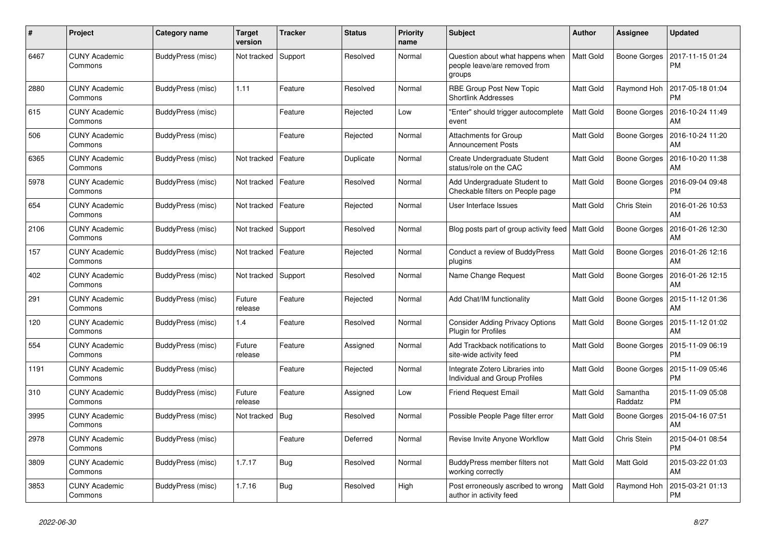| #    | Project                         | <b>Category name</b>     | <b>Target</b><br>version | <b>Tracker</b> | <b>Status</b> | <b>Priority</b><br>name | <b>Subject</b>                                                              | <b>Author</b>    | <b>Assignee</b>     | <b>Updated</b>         |
|------|---------------------------------|--------------------------|--------------------------|----------------|---------------|-------------------------|-----------------------------------------------------------------------------|------------------|---------------------|------------------------|
| 6467 | <b>CUNY Academic</b><br>Commons | BuddyPress (misc)        | Not tracked              | Support        | Resolved      | Normal                  | Question about what happens when<br>people leave/are removed from<br>groups | <b>Matt Gold</b> | Boone Gorges        | 2017-11-15 01:24<br>PM |
| 2880 | <b>CUNY Academic</b><br>Commons | BuddyPress (misc)        | 1.11                     | Feature        | Resolved      | Normal                  | RBE Group Post New Topic<br><b>Shortlink Addresses</b>                      | Matt Gold        | Raymond Hoh         | 2017-05-18 01:04<br>PM |
| 615  | <b>CUNY Academic</b><br>Commons | BuddyPress (misc)        |                          | Feature        | Rejected      | Low                     | "Enter" should trigger autocomplete<br>event                                | Matt Gold        | Boone Gorges        | 2016-10-24 11:49<br>AM |
| 506  | <b>CUNY Academic</b><br>Commons | BuddyPress (misc)        |                          | Feature        | Rejected      | Normal                  | <b>Attachments for Group</b><br><b>Announcement Posts</b>                   | Matt Gold        | Boone Gorges        | 2016-10-24 11:20<br>AM |
| 6365 | <b>CUNY Academic</b><br>Commons | <b>BuddyPress (misc)</b> | Not tracked              | Feature        | Duplicate     | Normal                  | Create Undergraduate Student<br>status/role on the CAC                      | Matt Gold        | Boone Gorges        | 2016-10-20 11:38<br>AM |
| 5978 | <b>CUNY Academic</b><br>Commons | BuddyPress (misc)        | Not tracked              | Feature        | Resolved      | Normal                  | Add Undergraduate Student to<br>Checkable filters on People page            | Matt Gold        | Boone Gorges        | 2016-09-04 09:48<br>PM |
| 654  | <b>CUNY Academic</b><br>Commons | BuddyPress (misc)        | Not tracked              | Feature        | Rejected      | Normal                  | User Interface Issues                                                       | Matt Gold        | Chris Stein         | 2016-01-26 10:53<br>AM |
| 2106 | <b>CUNY Academic</b><br>Commons | BuddyPress (misc)        | Not tracked              | Support        | Resolved      | Normal                  | Blog posts part of group activity feed                                      | Matt Gold        | Boone Gorges        | 2016-01-26 12:30<br>AM |
| 157  | <b>CUNY Academic</b><br>Commons | BuddyPress (misc)        | Not tracked              | Feature        | Rejected      | Normal                  | Conduct a review of BuddyPress<br>plugins                                   | Matt Gold        | Boone Gorges        | 2016-01-26 12:16<br>AM |
| 402  | <b>CUNY Academic</b><br>Commons | BuddyPress (misc)        | Not tracked              | Support        | Resolved      | Normal                  | Name Change Request                                                         | Matt Gold        | <b>Boone Gorges</b> | 2016-01-26 12:15<br>AM |
| 291  | <b>CUNY Academic</b><br>Commons | BuddyPress (misc)        | Future<br>release        | Feature        | Rejected      | Normal                  | Add Chat/IM functionality                                                   | Matt Gold        | Boone Gorges        | 2015-11-12 01:36<br>AM |
| 120  | <b>CUNY Academic</b><br>Commons | BuddyPress (misc)        | 1.4                      | Feature        | Resolved      | Normal                  | <b>Consider Adding Privacy Options</b><br><b>Plugin for Profiles</b>        | Matt Gold        | Boone Gorges        | 2015-11-12 01:02<br>AM |
| 554  | <b>CUNY Academic</b><br>Commons | <b>BuddyPress (misc)</b> | Future<br>release        | Feature        | Assigned      | Normal                  | Add Trackback notifications to<br>site-wide activity feed                   | Matt Gold        | Boone Gorges        | 2015-11-09 06:19<br>PM |
| 1191 | <b>CUNY Academic</b><br>Commons | BuddyPress (misc)        |                          | Feature        | Rejected      | Normal                  | Integrate Zotero Libraries into<br>Individual and Group Profiles            | Matt Gold        | Boone Gorges        | 2015-11-09 05:46<br>PM |
| 310  | <b>CUNY Academic</b><br>Commons | BuddyPress (misc)        | Future<br>release        | Feature        | Assigned      | Low                     | <b>Friend Request Email</b>                                                 | Matt Gold        | Samantha<br>Raddatz | 2015-11-09 05:08<br>PM |
| 3995 | <b>CUNY Academic</b><br>Commons | BuddyPress (misc)        | Not tracked              | Bug            | Resolved      | Normal                  | Possible People Page filter error                                           | Matt Gold        | Boone Gorges        | 2015-04-16 07:51<br>AM |
| 2978 | <b>CUNY Academic</b><br>Commons | BuddyPress (misc)        |                          | Feature        | Deferred      | Normal                  | Revise Invite Anyone Workflow                                               | Matt Gold        | Chris Stein         | 2015-04-01 08:54<br>PM |
| 3809 | <b>CUNY Academic</b><br>Commons | BuddyPress (misc)        | 1.7.17                   | Bug            | Resolved      | Normal                  | BuddyPress member filters not<br>working correctly                          | Matt Gold        | Matt Gold           | 2015-03-22 01:03<br>AM |
| 3853 | <b>CUNY Academic</b><br>Commons | BuddyPress (misc)        | 1.7.16                   | <b>Bug</b>     | Resolved      | High                    | Post erroneously ascribed to wrong<br>author in activity feed               | Matt Gold        | Raymond Hoh         | 2015-03-21 01:13<br>PM |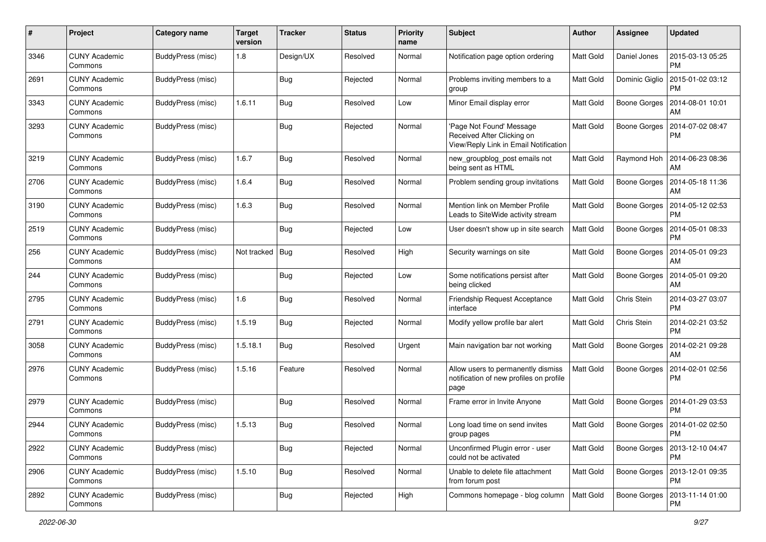| #    | Project                         | <b>Category name</b>     | <b>Target</b><br>version | <b>Tracker</b> | <b>Status</b> | <b>Priority</b><br>name | <b>Subject</b>                                                                                 | Author           | Assignee            | <b>Updated</b>                               |
|------|---------------------------------|--------------------------|--------------------------|----------------|---------------|-------------------------|------------------------------------------------------------------------------------------------|------------------|---------------------|----------------------------------------------|
| 3346 | <b>CUNY Academic</b><br>Commons | <b>BuddyPress (misc)</b> | 1.8                      | Design/UX      | Resolved      | Normal                  | Notification page option ordering                                                              | Matt Gold        | Daniel Jones        | 2015-03-13 05:25<br><b>PM</b>                |
| 2691 | <b>CUNY Academic</b><br>Commons | BuddyPress (misc)        |                          | <b>Bug</b>     | Rejected      | Normal                  | Problems inviting members to a<br>group                                                        | Matt Gold        | Dominic Giglio      | 2015-01-02 03:12<br><b>PM</b>                |
| 3343 | <b>CUNY Academic</b><br>Commons | BuddyPress (misc)        | 1.6.11                   | <b>Bug</b>     | Resolved      | Low                     | Minor Email display error                                                                      | <b>Matt Gold</b> | <b>Boone Gorges</b> | 2014-08-01 10:01<br>AM                       |
| 3293 | <b>CUNY Academic</b><br>Commons | <b>BuddyPress</b> (misc) |                          | <b>Bug</b>     | Rejected      | Normal                  | Page Not Found' Message<br>Received After Clicking on<br>View/Reply Link in Email Notification | <b>Matt Gold</b> | <b>Boone Gorges</b> | 2014-07-02 08:47<br><b>PM</b>                |
| 3219 | <b>CUNY Academic</b><br>Commons | BuddyPress (misc)        | 1.6.7                    | <b>Bug</b>     | Resolved      | Normal                  | new_groupblog_post emails not<br>being sent as HTML                                            | <b>Matt Gold</b> | Raymond Hoh         | 2014-06-23 08:36<br>AM                       |
| 2706 | <b>CUNY Academic</b><br>Commons | BuddyPress (misc)        | 1.6.4                    | <b>Bug</b>     | Resolved      | Normal                  | Problem sending group invitations                                                              | <b>Matt Gold</b> | Boone Gorges        | 2014-05-18 11:36<br>AM                       |
| 3190 | <b>CUNY Academic</b><br>Commons | BuddyPress (misc)        | 1.6.3                    | <b>Bug</b>     | Resolved      | Normal                  | Mention link on Member Profile<br>Leads to SiteWide activity stream                            | Matt Gold        | Boone Gorges        | 2014-05-12 02:53<br><b>PM</b>                |
| 2519 | <b>CUNY Academic</b><br>Commons | BuddyPress (misc)        |                          | <b>Bug</b>     | Rejected      | Low                     | User doesn't show up in site search                                                            | <b>Matt Gold</b> | Boone Gorges        | 2014-05-01 08:33<br><b>PM</b>                |
| 256  | <b>CUNY Academic</b><br>Commons | <b>BuddyPress</b> (misc) | Not tracked              | <b>Bug</b>     | Resolved      | High                    | Security warnings on site                                                                      | Matt Gold        | Boone Gorges        | 2014-05-01 09:23<br>AM                       |
| 244  | <b>CUNY Academic</b><br>Commons | BuddyPress (misc)        |                          | <b>Bug</b>     | Rejected      | Low                     | Some notifications persist after<br>being clicked                                              | <b>Matt Gold</b> | Boone Gorges        | 2014-05-01 09:20<br>AM                       |
| 2795 | <b>CUNY Academic</b><br>Commons | BuddyPress (misc)        | 1.6                      | <b>Bug</b>     | Resolved      | Normal                  | Friendship Request Acceptance<br>interface                                                     | Matt Gold        | Chris Stein         | 2014-03-27 03:07<br><b>PM</b>                |
| 2791 | <b>CUNY Academic</b><br>Commons | BuddyPress (misc)        | 1.5.19                   | <b>Bug</b>     | Rejected      | Normal                  | Modify yellow profile bar alert                                                                | Matt Gold        | Chris Stein         | 2014-02-21 03:52<br><b>PM</b>                |
| 3058 | <b>CUNY Academic</b><br>Commons | BuddyPress (misc)        | 1.5.18.1                 | Bug            | Resolved      | Urgent                  | Main navigation bar not working                                                                | <b>Matt Gold</b> | Boone Gorges        | 2014-02-21 09:28<br>AM                       |
| 2976 | <b>CUNY Academic</b><br>Commons | BuddyPress (misc)        | 1.5.16                   | Feature        | Resolved      | Normal                  | Allow users to permanently dismiss<br>notification of new profiles on profile<br>page          | Matt Gold        | Boone Gorges        | 2014-02-01 02:56<br><b>PM</b>                |
| 2979 | <b>CUNY Academic</b><br>Commons | BuddyPress (misc)        |                          | Bug            | Resolved      | Normal                  | Frame error in Invite Anyone                                                                   | Matt Gold        | Boone Gorges        | 2014-01-29 03:53<br><b>PM</b>                |
| 2944 | <b>CUNY Academic</b><br>Commons | <b>BuddyPress (misc)</b> | 1.5.13                   | Bug            | Resolved      | Normal                  | Long load time on send invites<br>group pages                                                  | Matt Gold        | Boone Gorges        | 2014-01-02 02:50<br>PM                       |
| 2922 | <b>CUNY Academic</b><br>Commons | BuddyPress (misc)        |                          | <b>Bug</b>     | Rejected      | Normal                  | Unconfirmed Plugin error - user<br>could not be activated                                      | Matt Gold        |                     | Boone Gorges   2013-12-10 04:47<br>PM        |
| 2906 | <b>CUNY Academic</b><br>Commons | BuddyPress (misc)        | 1.5.10                   | <b>Bug</b>     | Resolved      | Normal                  | Unable to delete file attachment<br>from forum post                                            | <b>Matt Gold</b> |                     | Boone Gorges   2013-12-01 09:35<br><b>PM</b> |
| 2892 | <b>CUNY Academic</b><br>Commons | BuddyPress (misc)        |                          | <b>Bug</b>     | Rejected      | High                    | Commons homepage - blog column                                                                 | Matt Gold        |                     | Boone Gorges   2013-11-14 01:00<br><b>PM</b> |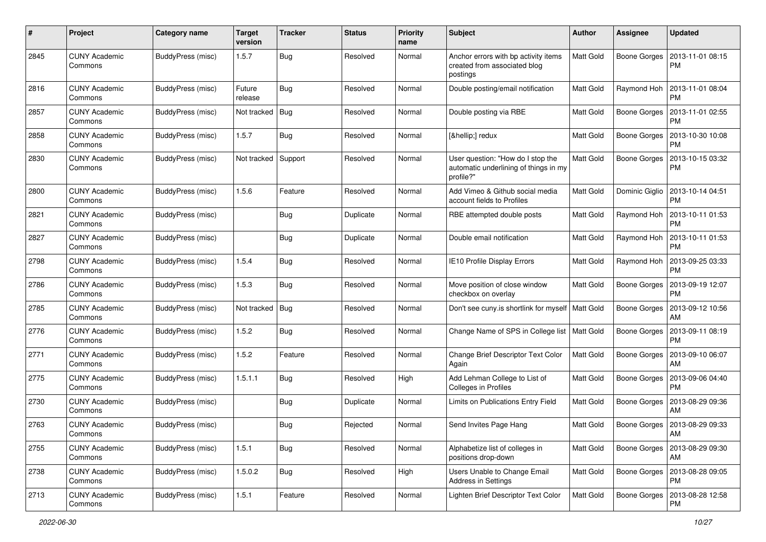| #    | Project                         | <b>Category name</b>     | <b>Target</b><br>version | <b>Tracker</b> | <b>Status</b> | <b>Priority</b><br>name | Subject                                                                                 | Author           | <b>Assignee</b>     | <b>Updated</b>                |
|------|---------------------------------|--------------------------|--------------------------|----------------|---------------|-------------------------|-----------------------------------------------------------------------------------------|------------------|---------------------|-------------------------------|
| 2845 | <b>CUNY Academic</b><br>Commons | <b>BuddyPress (misc)</b> | 1.5.7                    | Bug            | Resolved      | Normal                  | Anchor errors with bp activity items<br>created from associated blog<br>postings        | Matt Gold        | <b>Boone Gorges</b> | 2013-11-01 08:15<br><b>PM</b> |
| 2816 | <b>CUNY Academic</b><br>Commons | BuddyPress (misc)        | Future<br>release        | <b>Bug</b>     | Resolved      | Normal                  | Double posting/email notification                                                       | Matt Gold        | Raymond Hoh         | 2013-11-01 08:04<br><b>PM</b> |
| 2857 | <b>CUNY Academic</b><br>Commons | BuddyPress (misc)        | Not tracked              | <b>Bug</b>     | Resolved      | Normal                  | Double posting via RBE                                                                  | <b>Matt Gold</b> | Boone Gorges        | 2013-11-01 02:55<br><b>PM</b> |
| 2858 | <b>CUNY Academic</b><br>Commons | BuddyPress (misc)        | 1.5.7                    | Bug            | Resolved      | Normal                  | […] redux                                                                               | <b>Matt Gold</b> | Boone Gorges        | 2013-10-30 10:08<br>PM        |
| 2830 | <b>CUNY Academic</b><br>Commons | <b>BuddyPress</b> (misc) | Not tracked              | Support        | Resolved      | Normal                  | User question: "How do I stop the<br>automatic underlining of things in my<br>profile?" | <b>Matt Gold</b> | <b>Boone Gorges</b> | 2013-10-15 03:32<br><b>PM</b> |
| 2800 | <b>CUNY Academic</b><br>Commons | <b>BuddyPress</b> (misc) | 1.5.6                    | Feature        | Resolved      | Normal                  | Add Vimeo & Github social media<br>account fields to Profiles                           | Matt Gold        | Dominic Giglio      | 2013-10-14 04:51<br>PM        |
| 2821 | <b>CUNY Academic</b><br>Commons | <b>BuddyPress</b> (misc) |                          | Bug            | Duplicate     | Normal                  | RBE attempted double posts                                                              | <b>Matt Gold</b> | Raymond Hoh         | 2013-10-11 01:53<br><b>PM</b> |
| 2827 | <b>CUNY Academic</b><br>Commons | BuddyPress (misc)        |                          | Bug            | Duplicate     | Normal                  | Double email notification                                                               | <b>Matt Gold</b> | Raymond Hoh         | 2013-10-11 01:53<br><b>PM</b> |
| 2798 | <b>CUNY Academic</b><br>Commons | BuddyPress (misc)        | 1.5.4                    | Bug            | Resolved      | Normal                  | IE10 Profile Display Errors                                                             | <b>Matt Gold</b> | Raymond Hoh         | 2013-09-25 03:33<br><b>PM</b> |
| 2786 | <b>CUNY Academic</b><br>Commons | <b>BuddyPress</b> (misc) | 1.5.3                    | Bug            | Resolved      | Normal                  | Move position of close window<br>checkbox on overlay                                    | Matt Gold        | Boone Gorges        | 2013-09-19 12:07<br><b>PM</b> |
| 2785 | <b>CUNY Academic</b><br>Commons | BuddyPress (misc)        | Not tracked              | Bug            | Resolved      | Normal                  | Don't see cuny is shortlink for myself   Matt Gold                                      |                  | Boone Gorges        | 2013-09-12 10:56<br>AM        |
| 2776 | <b>CUNY Academic</b><br>Commons | BuddyPress (misc)        | 1.5.2                    | Bug            | Resolved      | Normal                  | Change Name of SPS in College list   Matt Gold                                          |                  | Boone Gorges        | 2013-09-11 08:19<br>PM        |
| 2771 | <b>CUNY Academic</b><br>Commons | BuddyPress (misc)        | 1.5.2                    | Feature        | Resolved      | Normal                  | Change Brief Descriptor Text Color<br>Again                                             | <b>Matt Gold</b> | Boone Gorges        | 2013-09-10 06:07<br>AM        |
| 2775 | <b>CUNY Academic</b><br>Commons | <b>BuddyPress</b> (misc) | 1.5.1.1                  | Bug            | Resolved      | High                    | Add Lehman College to List of<br>Colleges in Profiles                                   | Matt Gold        | Boone Gorges        | 2013-09-06 04:40<br><b>PM</b> |
| 2730 | <b>CUNY Academic</b><br>Commons | BuddyPress (misc)        |                          | Bug            | Duplicate     | Normal                  | Limits on Publications Entry Field                                                      | Matt Gold        | Boone Gorges        | 2013-08-29 09:36<br>AM        |
| 2763 | <b>CUNY Academic</b><br>Commons | BuddyPress (misc)        |                          | Bug            | Rejected      | Normal                  | Send Invites Page Hang                                                                  | <b>Matt Gold</b> | Boone Gorges        | 2013-08-29 09:33<br>  AM      |
| 2755 | <b>CUNY Academic</b><br>Commons | BuddyPress (misc)        | 1.5.1                    | Bug            | Resolved      | Normal                  | Alphabetize list of colleges in<br>positions drop-down                                  | <b>Matt Gold</b> | Boone Gorges        | 2013-08-29 09:30<br>AM        |
| 2738 | <b>CUNY Academic</b><br>Commons | BuddyPress (misc)        | 1.5.0.2                  | <b>Bug</b>     | Resolved      | High                    | Users Unable to Change Email<br><b>Address in Settings</b>                              | Matt Gold        | Boone Gorges        | 2013-08-28 09:05<br>PM        |
| 2713 | <b>CUNY Academic</b><br>Commons | BuddyPress (misc)        | 1.5.1                    | Feature        | Resolved      | Normal                  | Lighten Brief Descriptor Text Color                                                     | Matt Gold        | Boone Gorges        | 2013-08-28 12:58<br><b>PM</b> |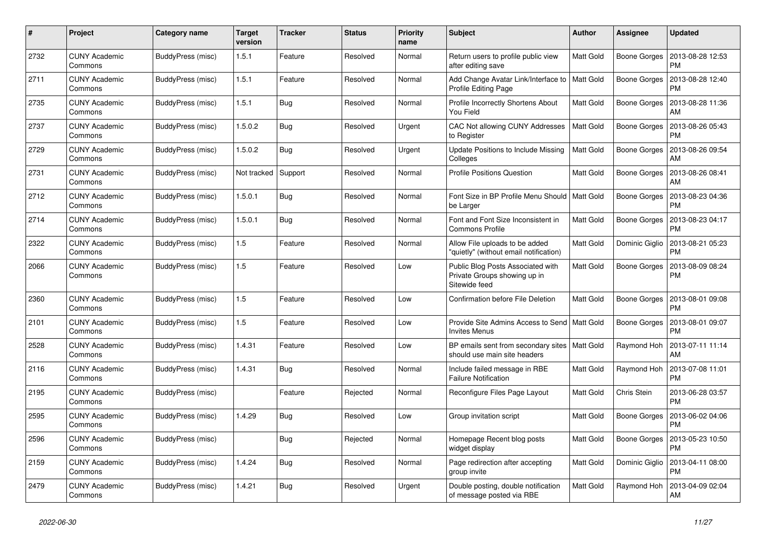| #    | Project                         | <b>Category name</b> | <b>Target</b><br>version | <b>Tracker</b> | <b>Status</b> | <b>Priority</b><br>name | <b>Subject</b>                                                                     | <b>Author</b>    | <b>Assignee</b> | <b>Updated</b>                |
|------|---------------------------------|----------------------|--------------------------|----------------|---------------|-------------------------|------------------------------------------------------------------------------------|------------------|-----------------|-------------------------------|
| 2732 | <b>CUNY Academic</b><br>Commons | BuddyPress (misc)    | 1.5.1                    | Feature        | Resolved      | Normal                  | Return users to profile public view<br>after editing save                          | <b>Matt Gold</b> | Boone Gorges    | 2013-08-28 12:53<br><b>PM</b> |
| 2711 | <b>CUNY Academic</b><br>Commons | BuddyPress (misc)    | 1.5.1                    | Feature        | Resolved      | Normal                  | Add Change Avatar Link/Interface to<br>Profile Editing Page                        | Matt Gold        | Boone Gorges    | 2013-08-28 12:40<br><b>PM</b> |
| 2735 | <b>CUNY Academic</b><br>Commons | BuddyPress (misc)    | 1.5.1                    | <b>Bug</b>     | Resolved      | Normal                  | Profile Incorrectly Shortens About<br>You Field                                    | <b>Matt Gold</b> | Boone Gorges    | 2013-08-28 11:36<br>AM        |
| 2737 | <b>CUNY Academic</b><br>Commons | BuddyPress (misc)    | 1.5.0.2                  | Bug            | Resolved      | Urgent                  | CAC Not allowing CUNY Addresses<br>to Register                                     | <b>Matt Gold</b> | Boone Gorges    | 2013-08-26 05:43<br><b>PM</b> |
| 2729 | <b>CUNY Academic</b><br>Commons | BuddyPress (misc)    | 1.5.0.2                  | Bug            | Resolved      | Urgent                  | Update Positions to Include Missing<br>Colleges                                    | Matt Gold        | Boone Gorges    | 2013-08-26 09:54<br>AM        |
| 2731 | <b>CUNY Academic</b><br>Commons | BuddyPress (misc)    | Not tracked              | Support        | Resolved      | Normal                  | <b>Profile Positions Question</b>                                                  | <b>Matt Gold</b> | Boone Gorges    | 2013-08-26 08:41<br>AM        |
| 2712 | <b>CUNY Academic</b><br>Commons | BuddyPress (misc)    | 1.5.0.1                  | Bug            | Resolved      | Normal                  | Font Size in BP Profile Menu Should   Matt Gold<br>be Larger                       |                  | Boone Gorges    | 2013-08-23 04:36<br><b>PM</b> |
| 2714 | <b>CUNY Academic</b><br>Commons | BuddyPress (misc)    | 1.5.0.1                  | Bug            | Resolved      | Normal                  | Font and Font Size Inconsistent in<br><b>Commons Profile</b>                       | <b>Matt Gold</b> | Boone Gorges    | 2013-08-23 04:17<br><b>PM</b> |
| 2322 | <b>CUNY Academic</b><br>Commons | BuddyPress (misc)    | 1.5                      | Feature        | Resolved      | Normal                  | Allow File uploads to be added<br>"quietly" (without email notification)           | <b>Matt Gold</b> | Dominic Giglio  | 2013-08-21 05:23<br><b>PM</b> |
| 2066 | <b>CUNY Academic</b><br>Commons | BuddyPress (misc)    | 1.5                      | Feature        | Resolved      | Low                     | Public Blog Posts Associated with<br>Private Groups showing up in<br>Sitewide feed | Matt Gold        | Boone Gorges    | 2013-08-09 08:24<br><b>PM</b> |
| 2360 | <b>CUNY Academic</b><br>Commons | BuddyPress (misc)    | 1.5                      | Feature        | Resolved      | Low                     | Confirmation before File Deletion                                                  | Matt Gold        | Boone Gorges    | 2013-08-01 09:08<br><b>PM</b> |
| 2101 | <b>CUNY Academic</b><br>Commons | BuddyPress (misc)    | $1.5$                    | Feature        | Resolved      | Low                     | Provide Site Admins Access to Send   Matt Gold<br><b>Invites Menus</b>             |                  | Boone Gorges    | 2013-08-01 09:07<br><b>PM</b> |
| 2528 | <b>CUNY Academic</b><br>Commons | BuddyPress (misc)    | 1.4.31                   | Feature        | Resolved      | Low                     | BP emails sent from secondary sites   Matt Gold<br>should use main site headers    |                  | Raymond Hoh     | 2013-07-11 11:14<br>AM        |
| 2116 | <b>CUNY Academic</b><br>Commons | BuddyPress (misc)    | 1.4.31                   | <b>Bug</b>     | Resolved      | Normal                  | Include failed message in RBE<br><b>Failure Notification</b>                       | <b>Matt Gold</b> | Raymond Hoh     | 2013-07-08 11:01<br><b>PM</b> |
| 2195 | <b>CUNY Academic</b><br>Commons | BuddyPress (misc)    |                          | Feature        | Rejected      | Normal                  | Reconfigure Files Page Layout                                                      | <b>Matt Gold</b> | Chris Stein     | 2013-06-28 03:57<br><b>PM</b> |
| 2595 | <b>CUNY Academic</b><br>Commons | BuddyPress (misc)    | 1.4.29                   | <b>Bug</b>     | Resolved      | Low                     | Group invitation script                                                            | Matt Gold        | Boone Gorges    | 2013-06-02 04:06<br><b>PM</b> |
| 2596 | <b>CUNY Academic</b><br>Commons | BuddyPress (misc)    |                          | Bug            | Rejected      | Normal                  | Homepage Recent blog posts<br>widget display                                       | <b>Matt Gold</b> | Boone Gorges    | 2013-05-23 10:50<br><b>PM</b> |
| 2159 | <b>CUNY Academic</b><br>Commons | BuddyPress (misc)    | 1.4.24                   | Bug            | Resolved      | Normal                  | Page redirection after accepting<br>group invite                                   | Matt Gold        | Dominic Giglio  | 2013-04-11 08:00<br><b>PM</b> |
| 2479 | <b>CUNY Academic</b><br>Commons | BuddyPress (misc)    | 1.4.21                   | Bug            | Resolved      | Urgent                  | Double posting, double notification<br>of message posted via RBE                   | <b>Matt Gold</b> | Raymond Hoh     | 2013-04-09 02:04<br>AM        |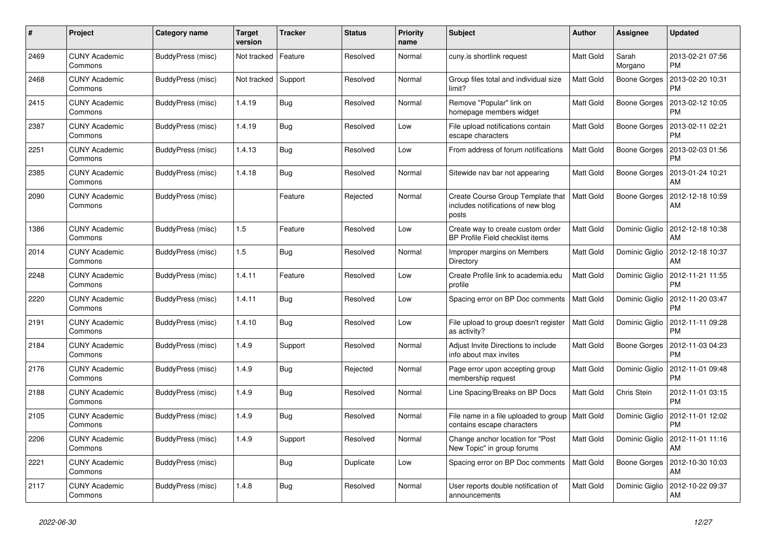| #    | Project                         | Category name     | <b>Target</b><br>version | <b>Tracker</b> | <b>Status</b> | <b>Priority</b><br>name | <b>Subject</b>                                                                   | <b>Author</b>    | <b>Assignee</b>     | <b>Updated</b>                |
|------|---------------------------------|-------------------|--------------------------|----------------|---------------|-------------------------|----------------------------------------------------------------------------------|------------------|---------------------|-------------------------------|
| 2469 | <b>CUNY Academic</b><br>Commons | BuddyPress (misc) | Not tracked              | Feature        | Resolved      | Normal                  | cuny.is shortlink request                                                        | Matt Gold        | Sarah<br>Morgano    | 2013-02-21 07:56<br><b>PM</b> |
| 2468 | <b>CUNY Academic</b><br>Commons | BuddyPress (misc) | Not tracked              | Support        | Resolved      | Normal                  | Group files total and individual size<br>limit?                                  | Matt Gold        | <b>Boone Gorges</b> | 2013-02-20 10:31<br>PM        |
| 2415 | <b>CUNY Academic</b><br>Commons | BuddyPress (misc) | 1.4.19                   | Bug            | Resolved      | Normal                  | Remove "Popular" link on<br>homepage members widget                              | Matt Gold        | Boone Gorges        | 2013-02-12 10:05<br>PM        |
| 2387 | <b>CUNY Academic</b><br>Commons | BuddyPress (misc) | 1.4.19                   | <b>Bug</b>     | Resolved      | Low                     | File upload notifications contain<br>escape characters                           | Matt Gold        | Boone Gorges        | 2013-02-11 02:21<br>PM        |
| 2251 | <b>CUNY Academic</b><br>Commons | BuddyPress (misc) | 1.4.13                   | Bug            | Resolved      | Low                     | From address of forum notifications                                              | Matt Gold        | Boone Gorges        | 2013-02-03 01:56<br><b>PM</b> |
| 2385 | <b>CUNY Academic</b><br>Commons | BuddyPress (misc) | 1.4.18                   | Bug            | Resolved      | Normal                  | Sitewide nav bar not appearing                                                   | Matt Gold        | Boone Gorges        | 2013-01-24 10:21<br>AM        |
| 2090 | <b>CUNY Academic</b><br>Commons | BuddyPress (misc) |                          | Feature        | Rejected      | Normal                  | Create Course Group Template that<br>includes notifications of new blog<br>posts | <b>Matt Gold</b> | Boone Gorges        | 2012-12-18 10:59<br>AM        |
| 1386 | <b>CUNY Academic</b><br>Commons | BuddyPress (misc) | 1.5                      | Feature        | Resolved      | Low                     | Create way to create custom order<br>BP Profile Field checklist items            | Matt Gold        | Dominic Giglio      | 2012-12-18 10:38<br>AM        |
| 2014 | <b>CUNY Academic</b><br>Commons | BuddyPress (misc) | 1.5                      | Bug            | Resolved      | Normal                  | Improper margins on Members<br>Directory                                         | Matt Gold        | Dominic Giglio      | 2012-12-18 10:37<br>AM        |
| 2248 | <b>CUNY Academic</b><br>Commons | BuddyPress (misc) | 1.4.11                   | Feature        | Resolved      | Low                     | Create Profile link to academia.edu<br>profile                                   | Matt Gold        | Dominic Giglio      | 2012-11-21 11:55<br><b>PM</b> |
| 2220 | <b>CUNY Academic</b><br>Commons | BuddyPress (misc) | 1.4.11                   | Bug            | Resolved      | Low                     | Spacing error on BP Doc comments                                                 | <b>Matt Gold</b> | Dominic Giglio      | 2012-11-20 03:47<br><b>PM</b> |
| 2191 | <b>CUNY Academic</b><br>Commons | BuddyPress (misc) | 1.4.10                   | <b>Bug</b>     | Resolved      | Low                     | File upload to group doesn't register<br>as activity?                            | <b>Matt Gold</b> | Dominic Giglio      | 2012-11-11 09:28<br><b>PM</b> |
| 2184 | <b>CUNY Academic</b><br>Commons | BuddyPress (misc) | 1.4.9                    | Support        | Resolved      | Normal                  | Adjust Invite Directions to include<br>info about max invites                    | Matt Gold        | Boone Gorges        | 2012-11-03 04:23<br><b>PM</b> |
| 2176 | <b>CUNY Academic</b><br>Commons | BuddyPress (misc) | 1.4.9                    | <b>Bug</b>     | Rejected      | Normal                  | Page error upon accepting group<br>membership request                            | Matt Gold        | Dominic Giglio      | 2012-11-01 09:48<br><b>PM</b> |
| 2188 | <b>CUNY Academic</b><br>Commons | BuddyPress (misc) | 1.4.9                    | <b>Bug</b>     | Resolved      | Normal                  | Line Spacing/Breaks on BP Docs                                                   | Matt Gold        | Chris Stein         | 2012-11-01 03:15<br><b>PM</b> |
| 2105 | <b>CUNY Academic</b><br>Commons | BuddyPress (misc) | 1.4.9                    | <b>Bug</b>     | Resolved      | Normal                  | File name in a file uploaded to group<br>contains escape characters              | <b>Matt Gold</b> | Dominic Giglio      | 2012-11-01 12:02<br><b>PM</b> |
| 2206 | <b>CUNY Academic</b><br>Commons | BuddyPress (misc) | 1.4.9                    | Support        | Resolved      | Normal                  | Change anchor location for "Post"<br>New Topic" in group forums                  | Matt Gold        | Dominic Giglio      | 2012-11-01 11:16<br>AM        |
| 2221 | <b>CUNY Academic</b><br>Commons | BuddyPress (misc) |                          | Bug            | Duplicate     | Low                     | Spacing error on BP Doc comments                                                 | <b>Matt Gold</b> | Boone Gorges        | 2012-10-30 10:03<br>AM        |
| 2117 | <b>CUNY Academic</b><br>Commons | BuddyPress (misc) | 1.4.8                    | Bug            | Resolved      | Normal                  | User reports double notification of<br>announcements                             | Matt Gold        | Dominic Giglio      | 2012-10-22 09:37<br>AM        |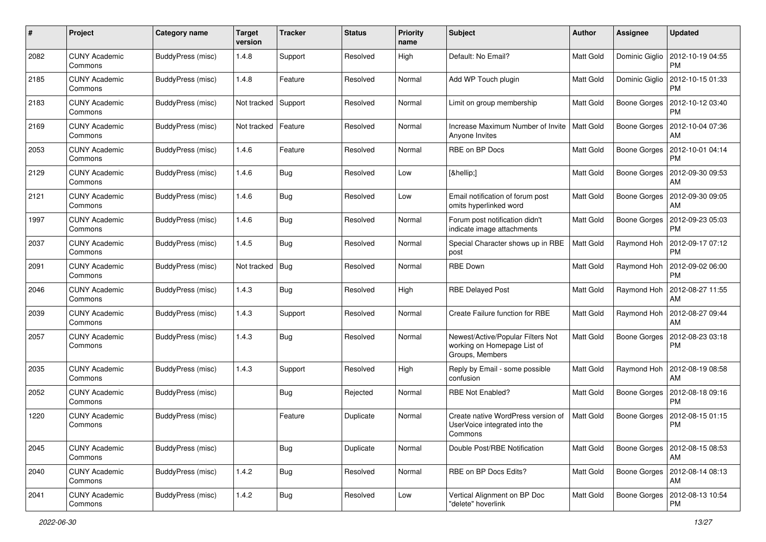| #    | Project                         | Category name            | <b>Target</b><br>version | <b>Tracker</b> | <b>Status</b> | <b>Priority</b><br>name | <b>Subject</b>                                                                      | Author           | <b>Assignee</b>     | <b>Updated</b>                        |
|------|---------------------------------|--------------------------|--------------------------|----------------|---------------|-------------------------|-------------------------------------------------------------------------------------|------------------|---------------------|---------------------------------------|
| 2082 | <b>CUNY Academic</b><br>Commons | BuddyPress (misc)        | 1.4.8                    | Support        | Resolved      | High                    | Default: No Email?                                                                  | Matt Gold        | Dominic Giglio      | 2012-10-19 04:55<br>PM                |
| 2185 | <b>CUNY Academic</b><br>Commons | BuddyPress (misc)        | 1.4.8                    | Feature        | Resolved      | Normal                  | Add WP Touch plugin                                                                 | Matt Gold        | Dominic Giglio      | 2012-10-15 01:33<br><b>PM</b>         |
| 2183 | CUNY Academic<br>Commons        | BuddyPress (misc)        | Not tracked              | Support        | Resolved      | Normal                  | Limit on group membership                                                           | <b>Matt Gold</b> | Boone Gorges        | 2012-10-12 03:40<br>PM                |
| 2169 | <b>CUNY Academic</b><br>Commons | <b>BuddyPress</b> (misc) | Not tracked              | Feature        | Resolved      | Normal                  | Increase Maximum Number of Invite<br>Anyone Invites                                 | Matt Gold        | <b>Boone Gorges</b> | 2012-10-04 07:36<br>AM                |
| 2053 | <b>CUNY Academic</b><br>Commons | BuddyPress (misc)        | 1.4.6                    | Feature        | Resolved      | Normal                  | <b>RBE on BP Docs</b>                                                               | <b>Matt Gold</b> | <b>Boone Gorges</b> | 2012-10-01 04:14<br><b>PM</b>         |
| 2129 | <b>CUNY Academic</b><br>Commons | BuddyPress (misc)        | 1.4.6                    | Bug            | Resolved      | Low                     | […]                                                                                 | Matt Gold        | Boone Gorges        | 2012-09-30 09:53<br>AM                |
| 2121 | <b>CUNY Academic</b><br>Commons | BuddyPress (misc)        | 1.4.6                    | Bug            | Resolved      | Low                     | Email notification of forum post<br>omits hyperlinked word                          | Matt Gold        | Boone Gorges        | 2012-09-30 09:05<br>AM                |
| 1997 | <b>CUNY Academic</b><br>Commons | <b>BuddyPress</b> (misc) | 1.4.6                    | Bug            | Resolved      | Normal                  | Forum post notification didn't<br>indicate image attachments                        | Matt Gold        | Boone Gorges        | 2012-09-23 05:03<br>PM                |
| 2037 | <b>CUNY Academic</b><br>Commons | BuddyPress (misc)        | 1.4.5                    | <b>Bug</b>     | Resolved      | Normal                  | Special Character shows up in RBE<br>post                                           | Matt Gold        | Raymond Hoh         | 2012-09-17 07:12<br><b>PM</b>         |
| 2091 | <b>CUNY Academic</b><br>Commons | BuddyPress (misc)        | Not tracked              | Bug            | Resolved      | Normal                  | <b>RBE Down</b>                                                                     | <b>Matt Gold</b> | Raymond Hoh         | 2012-09-02 06:00<br><b>PM</b>         |
| 2046 | <b>CUNY Academic</b><br>Commons | <b>BuddyPress</b> (misc) | 1.4.3                    | Bug            | Resolved      | High                    | <b>RBE Delayed Post</b>                                                             | <b>Matt Gold</b> | Raymond Hoh         | 2012-08-27 11:55<br>AM                |
| 2039 | <b>CUNY Academic</b><br>Commons | BuddyPress (misc)        | 1.4.3                    | Support        | Resolved      | Normal                  | Create Failure function for RBE                                                     | Matt Gold        | Raymond Hoh         | 2012-08-27 09:44<br>AM                |
| 2057 | <b>CUNY Academic</b><br>Commons | BuddyPress (misc)        | 1.4.3                    | Bug            | Resolved      | Normal                  | Newest/Active/Popular Filters Not<br>working on Homepage List of<br>Groups, Members | Matt Gold        | Boone Gorges        | 2012-08-23 03:18<br><b>PM</b>         |
| 2035 | <b>CUNY Academic</b><br>Commons | BuddyPress (misc)        | 1.4.3                    | Support        | Resolved      | High                    | Reply by Email - some possible<br>confusion                                         | <b>Matt Gold</b> | Raymond Hoh         | 2012-08-19 08:58<br>AM                |
| 2052 | <b>CUNY Academic</b><br>Commons | BuddyPress (misc)        |                          | Bug            | Rejected      | Normal                  | <b>RBE Not Enabled?</b>                                                             | Matt Gold        | Boone Gorges        | 2012-08-18 09:16<br><b>PM</b>         |
| 1220 | <b>CUNY Academic</b><br>Commons | <b>BuddyPress</b> (misc) |                          | Feature        | Duplicate     | Normal                  | Create native WordPress version of<br>UserVoice integrated into the<br>Commons      | <b>Matt Gold</b> | <b>Boone Gorges</b> | 2012-08-15 01:15<br>PM                |
| 2045 | <b>CUNY Academic</b><br>Commons | BuddyPress (misc)        |                          | Bug            | Duplicate     | Normal                  | Double Post/RBE Notification                                                        | Matt Gold        |                     | Boone Gorges   2012-08-15 08:53<br>AM |
| 2040 | <b>CUNY Academic</b><br>Commons | BuddyPress (misc)        | 1.4.2                    | <b>Bug</b>     | Resolved      | Normal                  | RBE on BP Docs Edits?                                                               | Matt Gold        |                     | Boone Gorges   2012-08-14 08:13<br>AM |
| 2041 | <b>CUNY Academic</b><br>Commons | BuddyPress (misc)        | 1.4.2                    | Bug            | Resolved      | Low                     | Vertical Alignment on BP Doc<br>"delete" hoverlink                                  | Matt Gold        |                     | Boone Gorges   2012-08-13 10:54<br>PM |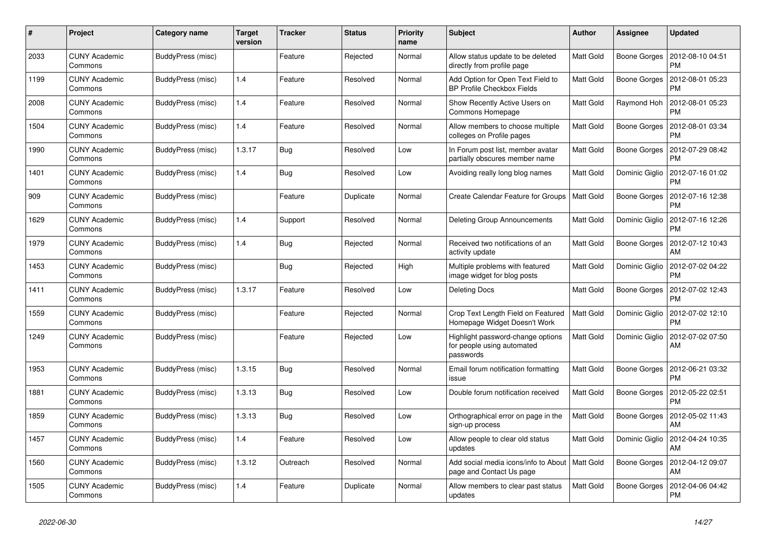| #    | Project                         | Category name     | <b>Target</b><br>version | <b>Tracker</b> | <b>Status</b> | <b>Priority</b><br>name | <b>Subject</b>                                                               | <b>Author</b>    | <b>Assignee</b> | <b>Updated</b>                |
|------|---------------------------------|-------------------|--------------------------|----------------|---------------|-------------------------|------------------------------------------------------------------------------|------------------|-----------------|-------------------------------|
| 2033 | <b>CUNY Academic</b><br>Commons | BuddyPress (misc) |                          | Feature        | Rejected      | Normal                  | Allow status update to be deleted<br>directly from profile page              | <b>Matt Gold</b> | Boone Gorges    | 2012-08-10 04:51<br><b>PM</b> |
| 1199 | <b>CUNY Academic</b><br>Commons | BuddyPress (misc) | 1.4                      | Feature        | Resolved      | Normal                  | Add Option for Open Text Field to<br><b>BP Profile Checkbox Fields</b>       | Matt Gold        | Boone Gorges    | 2012-08-01 05:23<br>PM        |
| 2008 | <b>CUNY Academic</b><br>Commons | BuddyPress (misc) | 1.4                      | Feature        | Resolved      | Normal                  | Show Recently Active Users on<br>Commons Homepage                            | Matt Gold        | Raymond Hoh     | 2012-08-01 05:23<br>PM        |
| 1504 | <b>CUNY Academic</b><br>Commons | BuddyPress (misc) | 1.4                      | Feature        | Resolved      | Normal                  | Allow members to choose multiple<br>colleges on Profile pages                | Matt Gold        | Boone Gorges    | 2012-08-01 03:34<br><b>PM</b> |
| 1990 | <b>CUNY Academic</b><br>Commons | BuddyPress (misc) | 1.3.17                   | Bug            | Resolved      | Low                     | In Forum post list, member avatar<br>partially obscures member name          | Matt Gold        | Boone Gorges    | 2012-07-29 08:42<br>PM        |
| 1401 | <b>CUNY Academic</b><br>Commons | BuddyPress (misc) | 1.4                      | <b>Bug</b>     | Resolved      | Low                     | Avoiding really long blog names                                              | <b>Matt Gold</b> | Dominic Giglio  | 2012-07-16 01:02<br><b>PM</b> |
| 909  | <b>CUNY Academic</b><br>Commons | BuddyPress (misc) |                          | Feature        | Duplicate     | Normal                  | Create Calendar Feature for Groups                                           | Matt Gold        | Boone Gorges    | 2012-07-16 12:38<br><b>PM</b> |
| 1629 | <b>CUNY Academic</b><br>Commons | BuddyPress (misc) | 1.4                      | Support        | Resolved      | Normal                  | <b>Deleting Group Announcements</b>                                          | Matt Gold        | Dominic Giglio  | 2012-07-16 12:26<br><b>PM</b> |
| 1979 | <b>CUNY Academic</b><br>Commons | BuddyPress (misc) | 1.4                      | <b>Bug</b>     | Rejected      | Normal                  | Received two notifications of an<br>activity update                          | <b>Matt Gold</b> | Boone Gorges    | 2012-07-12 10:43<br>AM        |
| 1453 | <b>CUNY Academic</b><br>Commons | BuddyPress (misc) |                          | Bug            | Rejected      | High                    | Multiple problems with featured<br>image widget for blog posts               | Matt Gold        | Dominic Giglio  | 2012-07-02 04:22<br><b>PM</b> |
| 1411 | <b>CUNY Academic</b><br>Commons | BuddyPress (misc) | 1.3.17                   | Feature        | Resolved      | Low                     | <b>Deleting Docs</b>                                                         | Matt Gold        | Boone Gorges    | 2012-07-02 12:43<br>PM        |
| 1559 | <b>CUNY Academic</b><br>Commons | BuddyPress (misc) |                          | Feature        | Rejected      | Normal                  | Crop Text Length Field on Featured<br>Homepage Widget Doesn't Work           | <b>Matt Gold</b> | Dominic Giglio  | 2012-07-02 12:10<br><b>PM</b> |
| 1249 | <b>CUNY Academic</b><br>Commons | BuddyPress (misc) |                          | Feature        | Rejected      | Low                     | Highlight password-change options<br>for people using automated<br>passwords | Matt Gold        | Dominic Giglio  | 2012-07-02 07:50<br>AM        |
| 1953 | <b>CUNY Academic</b><br>Commons | BuddyPress (misc) | 1.3.15                   | Bug            | Resolved      | Normal                  | Email forum notification formatting<br>issue                                 | Matt Gold        | Boone Gorges    | 2012-06-21 03:32<br><b>PM</b> |
| 1881 | <b>CUNY Academic</b><br>Commons | BuddyPress (misc) | 1.3.13                   | <b>Bug</b>     | Resolved      | Low                     | Double forum notification received                                           | Matt Gold        | Boone Gorges    | 2012-05-22 02:51<br><b>PM</b> |
| 1859 | <b>CUNY Academic</b><br>Commons | BuddyPress (misc) | 1.3.13                   | Bug            | Resolved      | Low                     | Orthographical error on page in the<br>sign-up process                       | Matt Gold        | Boone Gorges    | 2012-05-02 11:43<br>AM        |
| 1457 | <b>CUNY Academic</b><br>Commons | BuddyPress (misc) | 1.4                      | Feature        | Resolved      | Low                     | Allow people to clear old status<br>updates                                  | Matt Gold        | Dominic Giglio  | 2012-04-24 10:35<br>AM        |
| 1560 | <b>CUNY Academic</b><br>Commons | BuddyPress (misc) | 1.3.12                   | Outreach       | Resolved      | Normal                  | Add social media icons/info to About   Matt Gold<br>page and Contact Us page |                  | Boone Gorges    | 2012-04-12 09:07<br>AM        |
| 1505 | <b>CUNY Academic</b><br>Commons | BuddyPress (misc) | 1.4                      | Feature        | Duplicate     | Normal                  | Allow members to clear past status<br>updates                                | Matt Gold        | Boone Gorges    | 2012-04-06 04:42<br><b>PM</b> |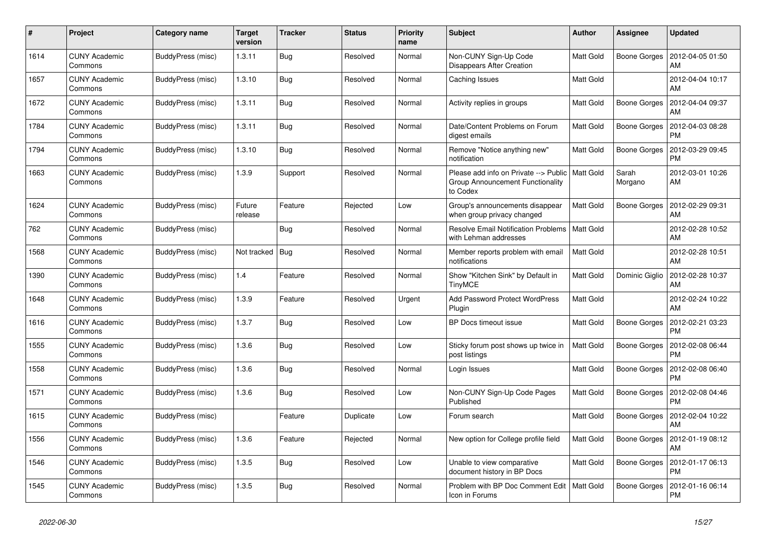| #    | Project                         | Category name     | <b>Target</b><br>version | <b>Tracker</b> | <b>Status</b> | <b>Priority</b><br>name | <b>Subject</b>                                                                        | <b>Author</b>    | <b>Assignee</b>     | <b>Updated</b>                        |
|------|---------------------------------|-------------------|--------------------------|----------------|---------------|-------------------------|---------------------------------------------------------------------------------------|------------------|---------------------|---------------------------------------|
| 1614 | <b>CUNY Academic</b><br>Commons | BuddyPress (misc) | 1.3.11                   | <b>Bug</b>     | Resolved      | Normal                  | Non-CUNY Sign-Up Code<br><b>Disappears After Creation</b>                             | <b>Matt Gold</b> |                     | Boone Gorges   2012-04-05 01:50<br>AM |
| 1657 | <b>CUNY Academic</b><br>Commons | BuddyPress (misc) | 1.3.10                   | <b>Bug</b>     | Resolved      | Normal                  | Caching Issues                                                                        | Matt Gold        |                     | 2012-04-04 10:17<br>AM                |
| 1672 | <b>CUNY Academic</b><br>Commons | BuddyPress (misc) | 1.3.11                   | Bug            | Resolved      | Normal                  | Activity replies in groups                                                            | Matt Gold        | Boone Gorges        | 2012-04-04 09:37<br>AM                |
| 1784 | <b>CUNY Academic</b><br>Commons | BuddyPress (misc) | 1.3.11                   | Bug            | Resolved      | Normal                  | Date/Content Problems on Forum<br>digest emails                                       | Matt Gold        | Boone Gorges        | 2012-04-03 08:28<br><b>PM</b>         |
| 1794 | <b>CUNY Academic</b><br>Commons | BuddyPress (misc) | 1.3.10                   | <b>Bug</b>     | Resolved      | Normal                  | Remove "Notice anything new"<br>notification                                          | Matt Gold        | <b>Boone Gorges</b> | 2012-03-29 09:45<br><b>PM</b>         |
| 1663 | <b>CUNY Academic</b><br>Commons | BuddyPress (misc) | 1.3.9                    | Support        | Resolved      | Normal                  | Please add info on Private --> Public<br>Group Announcement Functionality<br>to Codex | <b>Matt Gold</b> | Sarah<br>Morgano    | 2012-03-01 10:26<br>AM                |
| 1624 | <b>CUNY Academic</b><br>Commons | BuddyPress (misc) | Future<br>release        | Feature        | Rejected      | Low                     | Group's announcements disappear<br>when group privacy changed                         | <b>Matt Gold</b> | Boone Gorges        | 2012-02-29 09:31<br>AM                |
| 762  | <b>CUNY Academic</b><br>Commons | BuddyPress (misc) |                          | Bug            | Resolved      | Normal                  | <b>Resolve Email Notification Problems</b><br>with Lehman addresses                   | Matt Gold        |                     | 2012-02-28 10:52<br>AM                |
| 1568 | <b>CUNY Academic</b><br>Commons | BuddyPress (misc) | Not tracked              | <b>Bug</b>     | Resolved      | Normal                  | Member reports problem with email<br>notifications                                    | <b>Matt Gold</b> |                     | 2012-02-28 10:51<br>AM                |
| 1390 | <b>CUNY Academic</b><br>Commons | BuddyPress (misc) | 1.4                      | Feature        | Resolved      | Normal                  | Show "Kitchen Sink" by Default in<br><b>TinyMCE</b>                                   | <b>Matt Gold</b> | Dominic Giglio      | 2012-02-28 10:37<br>AM                |
| 1648 | <b>CUNY Academic</b><br>Commons | BuddyPress (misc) | 1.3.9                    | Feature        | Resolved      | Urgent                  | Add Password Protect WordPress<br>Plugin                                              | Matt Gold        |                     | 2012-02-24 10:22<br>AM                |
| 1616 | <b>CUNY Academic</b><br>Commons | BuddyPress (misc) | 1.3.7                    | <b>Bug</b>     | Resolved      | Low                     | BP Docs timeout issue                                                                 | <b>Matt Gold</b> | Boone Gorges        | 2012-02-21 03:23<br><b>PM</b>         |
| 1555 | <b>CUNY Academic</b><br>Commons | BuddyPress (misc) | 1.3.6                    | Bug            | Resolved      | Low                     | Sticky forum post shows up twice in<br>post listings                                  | Matt Gold        | Boone Gorges        | 2012-02-08 06:44<br><b>PM</b>         |
| 1558 | <b>CUNY Academic</b><br>Commons | BuddyPress (misc) | 1.3.6                    | <b>Bug</b>     | Resolved      | Normal                  | Login Issues                                                                          | Matt Gold        | Boone Gorges        | 2012-02-08 06:40<br><b>PM</b>         |
| 1571 | <b>CUNY Academic</b><br>Commons | BuddyPress (misc) | 1.3.6                    | Bug            | Resolved      | Low                     | Non-CUNY Sign-Up Code Pages<br>Published                                              | Matt Gold        | Boone Gorges        | 2012-02-08 04:46<br><b>PM</b>         |
| 1615 | <b>CUNY Academic</b><br>Commons | BuddyPress (misc) |                          | Feature        | Duplicate     | Low                     | Forum search                                                                          | <b>Matt Gold</b> | <b>Boone Gorges</b> | 2012-02-04 10:22<br>AM                |
| 1556 | <b>CUNY Academic</b><br>Commons | BuddyPress (misc) | 1.3.6                    | Feature        | Rejected      | Normal                  | New option for College profile field                                                  | Matt Gold        | Boone Gorges        | 2012-01-19 08:12<br>AM                |
| 1546 | <b>CUNY Academic</b><br>Commons | BuddyPress (misc) | 1.3.5                    | <b>Bug</b>     | Resolved      | Low                     | Unable to view comparative<br>document history in BP Docs                             | Matt Gold        | Boone Gorges        | 2012-01-17 06:13<br><b>PM</b>         |
| 1545 | <b>CUNY Academic</b><br>Commons | BuddyPress (misc) | 1.3.5                    | <b>Bug</b>     | Resolved      | Normal                  | Problem with BP Doc Comment Edit<br>Icon in Forums                                    | <b>Matt Gold</b> | Boone Gorges        | 2012-01-16 06:14<br><b>PM</b>         |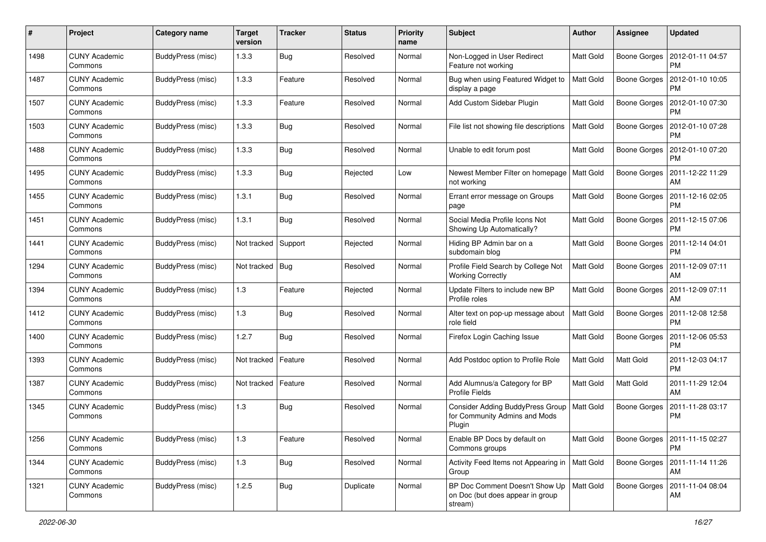| #    | Project                         | <b>Category name</b>     | <b>Target</b><br>version | <b>Tracker</b> | <b>Status</b> | <b>Priority</b><br>name | <b>Subject</b>                                                                            | <b>Author</b>    | Assignee            | <b>Updated</b>                               |
|------|---------------------------------|--------------------------|--------------------------|----------------|---------------|-------------------------|-------------------------------------------------------------------------------------------|------------------|---------------------|----------------------------------------------|
| 1498 | <b>CUNY Academic</b><br>Commons | BuddyPress (misc)        | 1.3.3                    | Bug            | Resolved      | Normal                  | Non-Logged in User Redirect<br>Feature not working                                        | Matt Gold        | Boone Gorges        | 2012-01-11 04:57<br><b>PM</b>                |
| 1487 | <b>CUNY Academic</b><br>Commons | BuddyPress (misc)        | 1.3.3                    | Feature        | Resolved      | Normal                  | Bug when using Featured Widget to<br>display a page                                       | Matt Gold        | <b>Boone Gorges</b> | 2012-01-10 10:05<br>PM                       |
| 1507 | <b>CUNY Academic</b><br>Commons | BuddyPress (misc)        | 1.3.3                    | Feature        | Resolved      | Normal                  | Add Custom Sidebar Plugin                                                                 | Matt Gold        | <b>Boone Gorges</b> | 2012-01-10 07:30<br><b>PM</b>                |
| 1503 | <b>CUNY Academic</b><br>Commons | BuddyPress (misc)        | 1.3.3                    | Bug            | Resolved      | Normal                  | File list not showing file descriptions                                                   | Matt Gold        | <b>Boone Gorges</b> | 2012-01-10 07:28<br>PM                       |
| 1488 | <b>CUNY Academic</b><br>Commons | BuddyPress (misc)        | 1.3.3                    | Bug            | Resolved      | Normal                  | Unable to edit forum post                                                                 | Matt Gold        | <b>Boone Gorges</b> | 2012-01-10 07:20<br><b>PM</b>                |
| 1495 | <b>CUNY Academic</b><br>Commons | <b>BuddyPress (misc)</b> | 1.3.3                    | Bug            | Rejected      | Low                     | Newest Member Filter on homepage<br>not working                                           | Matt Gold        | Boone Gorges        | 2011-12-22 11:29<br>AM                       |
| 1455 | <b>CUNY Academic</b><br>Commons | BuddyPress (misc)        | 1.3.1                    | Bug            | Resolved      | Normal                  | Errant error message on Groups<br>page                                                    | Matt Gold        | Boone Gorges        | 2011-12-16 02:05<br><b>PM</b>                |
| 1451 | <b>CUNY Academic</b><br>Commons | BuddyPress (misc)        | 1.3.1                    | <b>Bug</b>     | Resolved      | Normal                  | Social Media Profile Icons Not<br>Showing Up Automatically?                               | Matt Gold        | Boone Gorges        | 2011-12-15 07:06<br>PM                       |
| 1441 | <b>CUNY Academic</b><br>Commons | BuddyPress (misc)        | Not tracked              | Support        | Rejected      | Normal                  | Hiding BP Admin bar on a<br>subdomain blog                                                | <b>Matt Gold</b> | <b>Boone Gorges</b> | 2011-12-14 04:01<br><b>PM</b>                |
| 1294 | <b>CUNY Academic</b><br>Commons | BuddyPress (misc)        | Not tracked              | Bug            | Resolved      | Normal                  | Profile Field Search by College Not<br><b>Working Correctly</b>                           | Matt Gold        | <b>Boone Gorges</b> | 2011-12-09 07:11<br>AM                       |
| 1394 | <b>CUNY Academic</b><br>Commons | BuddyPress (misc)        | 1.3                      | Feature        | Rejected      | Normal                  | Update Filters to include new BP<br>Profile roles                                         | Matt Gold        | <b>Boone Gorges</b> | 2011-12-09 07:11<br>AM                       |
| 1412 | <b>CUNY Academic</b><br>Commons | BuddyPress (misc)        | 1.3                      | <b>Bug</b>     | Resolved      | Normal                  | Alter text on pop-up message about<br>role field                                          | <b>Matt Gold</b> | Boone Gorges        | 2011-12-08 12:58<br>PM                       |
| 1400 | <b>CUNY Academic</b><br>Commons | BuddyPress (misc)        | 1.2.7                    | Bug            | Resolved      | Normal                  | Firefox Login Caching Issue                                                               | Matt Gold        | Boone Gorges        | 2011-12-06 05:53<br><b>PM</b>                |
| 1393 | <b>CUNY Academic</b><br>Commons | BuddyPress (misc)        | Not tracked              | Feature        | Resolved      | Normal                  | Add Postdoc option to Profile Role                                                        | <b>Matt Gold</b> | Matt Gold           | 2011-12-03 04:17<br><b>PM</b>                |
| 1387 | <b>CUNY Academic</b><br>Commons | <b>BuddyPress</b> (misc) | Not tracked              | Feature        | Resolved      | Normal                  | Add Alumnus/a Category for BP<br>Profile Fields                                           | Matt Gold        | Matt Gold           | 2011-11-29 12:04<br>AM                       |
| 1345 | <b>CUNY Academic</b><br>Commons | BuddyPress (misc)        | 1.3                      | Bug            | Resolved      | Normal                  | Consider Adding BuddyPress Group   Matt Gold<br>for Community Admins and Mods<br>Plugin   |                  | Boone Gorges        | 2011-11-28 03:17<br><b>PM</b>                |
| 1256 | <b>CUNY Academic</b><br>Commons | BuddyPress (misc)        | $1.3$                    | Feature        | Resolved      | Normal                  | Enable BP Docs by default on<br>Commons groups                                            | <b>Matt Gold</b> |                     | Boone Gorges   2011-11-15 02:27<br><b>PM</b> |
| 1344 | <b>CUNY Academic</b><br>Commons | BuddyPress (misc)        | $1.3$                    | Bug            | Resolved      | Normal                  | Activity Feed Items not Appearing in<br>Group                                             | Matt Gold        | Boone Gorges        | 2011-11-14 11:26<br>AM                       |
| 1321 | <b>CUNY Academic</b><br>Commons | BuddyPress (misc)        | 1.2.5                    | <b>Bug</b>     | Duplicate     | Normal                  | BP Doc Comment Doesn't Show Up   Matt Gold<br>on Doc (but does appear in group<br>stream) |                  | Boone Gorges        | 2011-11-04 08:04<br>AM                       |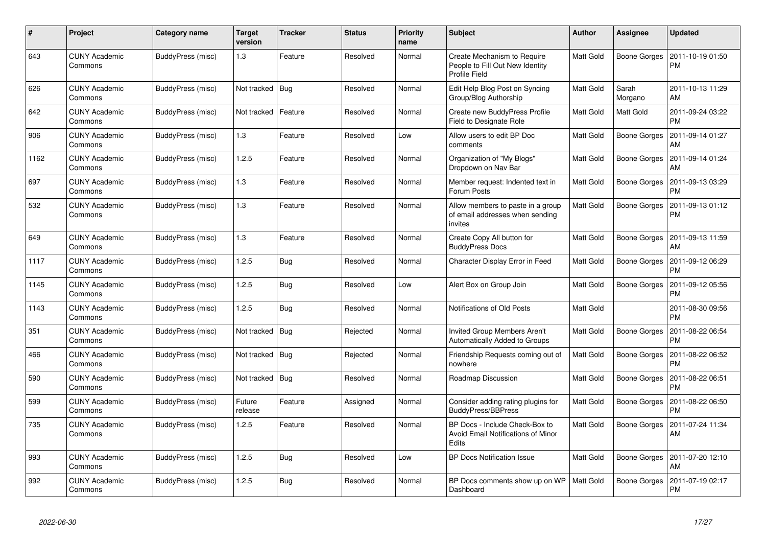| $\#$ | Project                         | <b>Category name</b> | <b>Target</b><br>version | <b>Tracker</b> | <b>Status</b> | <b>Priority</b><br>name | <b>Subject</b>                                                                  | <b>Author</b>    | Assignee         | <b>Updated</b>                |
|------|---------------------------------|----------------------|--------------------------|----------------|---------------|-------------------------|---------------------------------------------------------------------------------|------------------|------------------|-------------------------------|
| 643  | <b>CUNY Academic</b><br>Commons | BuddyPress (misc)    | 1.3                      | Feature        | Resolved      | Normal                  | Create Mechanism to Require<br>People to Fill Out New Identity<br>Profile Field | Matt Gold        | Boone Gorges     | 2011-10-19 01:50<br><b>PM</b> |
| 626  | CUNY Academic<br>Commons        | BuddyPress (misc)    | Not tracked   Bug        |                | Resolved      | Normal                  | Edit Help Blog Post on Syncing<br>Group/Blog Authorship                         | Matt Gold        | Sarah<br>Morgano | 2011-10-13 11:29<br>AM        |
| 642  | <b>CUNY Academic</b><br>Commons | BuddyPress (misc)    | Not tracked              | Feature        | Resolved      | Normal                  | Create new BuddyPress Profile<br>Field to Designate Role                        | Matt Gold        | Matt Gold        | 2011-09-24 03:22<br><b>PM</b> |
| 906  | <b>CUNY Academic</b><br>Commons | BuddyPress (misc)    | 1.3                      | Feature        | Resolved      | Low                     | Allow users to edit BP Doc<br>comments                                          | Matt Gold        | Boone Gorges     | 2011-09-14 01:27<br>AM        |
| 1162 | CUNY Academic<br>Commons        | BuddyPress (misc)    | 1.2.5                    | Feature        | Resolved      | Normal                  | Organization of "My Blogs"<br>Dropdown on Nav Bar                               | Matt Gold        | Boone Gorges     | 2011-09-14 01:24<br>AM        |
| 697  | CUNY Academic<br>Commons        | BuddyPress (misc)    | 1.3                      | Feature        | Resolved      | Normal                  | Member request: Indented text in<br>Forum Posts                                 | Matt Gold        | Boone Gorges     | 2011-09-13 03:29<br><b>PM</b> |
| 532  | <b>CUNY Academic</b><br>Commons | BuddyPress (misc)    | 1.3                      | Feature        | Resolved      | Normal                  | Allow members to paste in a group<br>of email addresses when sending<br>invites | <b>Matt Gold</b> | Boone Gorges     | 2011-09-13 01:12<br><b>PM</b> |
| 649  | <b>CUNY Academic</b><br>Commons | BuddyPress (misc)    | 1.3                      | Feature        | Resolved      | Normal                  | Create Copy All button for<br><b>BuddyPress Docs</b>                            | <b>Matt Gold</b> | Boone Gorges     | 2011-09-13 11:59<br>AM        |
| 1117 | <b>CUNY Academic</b><br>Commons | BuddyPress (misc)    | 1.2.5                    | Bug            | Resolved      | Normal                  | Character Display Error in Feed                                                 | Matt Gold        | Boone Gorges     | 2011-09-12 06:29<br><b>PM</b> |
| 1145 | CUNY Academic<br>Commons        | BuddyPress (misc)    | 1.2.5                    | Bug            | Resolved      | Low                     | Alert Box on Group Join                                                         | Matt Gold        | Boone Gorges     | 2011-09-12 05:56<br><b>PM</b> |
| 1143 | <b>CUNY Academic</b><br>Commons | BuddyPress (misc)    | 1.2.5                    | <b>Bug</b>     | Resolved      | Normal                  | Notifications of Old Posts                                                      | <b>Matt Gold</b> |                  | 2011-08-30 09:56<br><b>PM</b> |
| 351  | <b>CUNY Academic</b><br>Commons | BuddyPress (misc)    | Not tracked              | Bug            | Rejected      | Normal                  | Invited Group Members Aren't<br>Automatically Added to Groups                   | Matt Gold        | Boone Gorges     | 2011-08-22 06:54<br><b>PM</b> |
| 466  | <b>CUNY Academic</b><br>Commons | BuddyPress (misc)    | Not tracked   Bug        |                | Rejected      | Normal                  | Friendship Requests coming out of<br>nowhere                                    | Matt Gold        | Boone Gorges     | 2011-08-22 06:52<br><b>PM</b> |
| 590  | <b>CUNY Academic</b><br>Commons | BuddyPress (misc)    | Not tracked Bug          |                | Resolved      | Normal                  | Roadmap Discussion                                                              | Matt Gold        | Boone Gorges     | 2011-08-22 06:51<br><b>PM</b> |
| 599  | <b>CUNY Academic</b><br>Commons | BuddyPress (misc)    | Future<br>release        | Feature        | Assigned      | Normal                  | Consider adding rating plugins for<br><b>BuddyPress/BBPress</b>                 | <b>Matt Gold</b> | Boone Gorges     | 2011-08-22 06:50<br><b>PM</b> |
| 735  | <b>CUNY Academic</b><br>Commons | BuddyPress (misc)    | 1.2.5                    | Feature        | Resolved      | Normal                  | BP Docs - Include Check-Box to<br>Avoid Email Notifications of Minor<br>Edits   | Matt Gold        | Boone Gorges     | 2011-07-24 11:34<br>AM        |
| 993  | <b>CUNY Academic</b><br>Commons | BuddyPress (misc)    | 1.2.5                    | Bug            | Resolved      | Low                     | <b>BP Docs Notification Issue</b>                                               | Matt Gold        | Boone Gorges     | 2011-07-20 12:10<br>AM        |
| 992  | CUNY Academic<br>Commons        | BuddyPress (misc)    | 1.2.5                    | Bug            | Resolved      | Normal                  | BP Docs comments show up on WP<br>Dashboard                                     | <b>Matt Gold</b> | Boone Gorges     | 2011-07-19 02:17<br>PM        |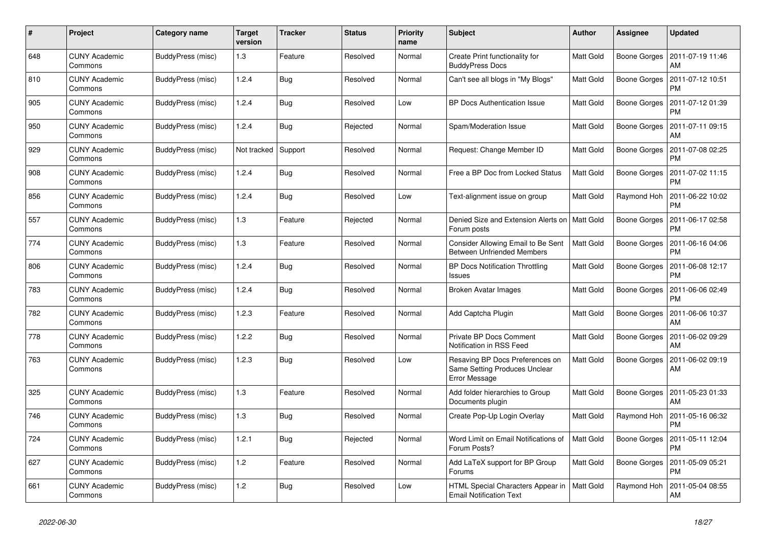| #   | Project                         | Category name     | <b>Target</b><br>version | <b>Tracker</b> | <b>Status</b> | <b>Priority</b><br>name | <b>Subject</b>                                                                    | <b>Author</b>    | <b>Assignee</b> | <b>Updated</b>                |
|-----|---------------------------------|-------------------|--------------------------|----------------|---------------|-------------------------|-----------------------------------------------------------------------------------|------------------|-----------------|-------------------------------|
| 648 | <b>CUNY Academic</b><br>Commons | BuddyPress (misc) | 1.3                      | Feature        | Resolved      | Normal                  | Create Print functionality for<br><b>BuddyPress Docs</b>                          | <b>Matt Gold</b> | Boone Gorges    | 2011-07-19 11:46<br>AM        |
| 810 | <b>CUNY Academic</b><br>Commons | BuddyPress (misc) | 1.2.4                    | <b>Bug</b>     | Resolved      | Normal                  | Can't see all blogs in "My Blogs"                                                 | Matt Gold        | Boone Gorges    | 2011-07-12 10:51<br><b>PM</b> |
| 905 | <b>CUNY Academic</b><br>Commons | BuddyPress (misc) | 1.2.4                    | Bug            | Resolved      | Low                     | <b>BP Docs Authentication Issue</b>                                               | Matt Gold        | Boone Gorges    | 2011-07-12 01:39<br><b>PM</b> |
| 950 | <b>CUNY Academic</b><br>Commons | BuddyPress (misc) | 1.2.4                    | Bug            | Rejected      | Normal                  | Spam/Moderation Issue                                                             | Matt Gold        | Boone Gorges    | 2011-07-11 09:15<br>AM        |
| 929 | <b>CUNY Academic</b><br>Commons | BuddyPress (misc) | Not tracked              | Support        | Resolved      | Normal                  | Request: Change Member ID                                                         | Matt Gold        | Boone Gorges    | 2011-07-08 02:25<br><b>PM</b> |
| 908 | <b>CUNY Academic</b><br>Commons | BuddyPress (misc) | 1.2.4                    | <b>Bug</b>     | Resolved      | Normal                  | Free a BP Doc from Locked Status                                                  | Matt Gold        | Boone Gorges    | 2011-07-02 11:15<br><b>PM</b> |
| 856 | <b>CUNY Academic</b><br>Commons | BuddyPress (misc) | 1.2.4                    | Bug            | Resolved      | Low                     | Text-alignment issue on group                                                     | Matt Gold        | Raymond Hoh     | 2011-06-22 10:02<br><b>PM</b> |
| 557 | <b>CUNY Academic</b><br>Commons | BuddyPress (misc) | 1.3                      | Feature        | Rejected      | Normal                  | Denied Size and Extension Alerts on<br>Forum posts                                | l Matt Gold      | Boone Gorges    | 2011-06-17 02:58<br><b>PM</b> |
| 774 | <b>CUNY Academic</b><br>Commons | BuddyPress (misc) | 1.3                      | Feature        | Resolved      | Normal                  | Consider Allowing Email to Be Sent<br><b>Between Unfriended Members</b>           | Matt Gold        | Boone Gorges    | 2011-06-16 04:06<br><b>PM</b> |
| 806 | <b>CUNY Academic</b><br>Commons | BuddyPress (misc) | 1.2.4                    | Bug            | Resolved      | Normal                  | <b>BP Docs Notification Throttling</b><br><b>Issues</b>                           | Matt Gold        | Boone Gorges    | 2011-06-08 12:17<br><b>PM</b> |
| 783 | <b>CUNY Academic</b><br>Commons | BuddyPress (misc) | 1.2.4                    | <b>Bug</b>     | Resolved      | Normal                  | Broken Avatar Images                                                              | <b>Matt Gold</b> | Boone Gorges    | 2011-06-06 02:49<br>РM        |
| 782 | <b>CUNY Academic</b><br>Commons | BuddyPress (misc) | 1.2.3                    | Feature        | Resolved      | Normal                  | Add Captcha Plugin                                                                | Matt Gold        | Boone Gorges    | 2011-06-06 10:37<br>AM        |
| 778 | <b>CUNY Academic</b><br>Commons | BuddyPress (misc) | 1.2.2                    | Bug            | Resolved      | Normal                  | Private BP Docs Comment<br>Notification in RSS Feed                               | <b>Matt Gold</b> | Boone Gorges    | 2011-06-02 09:29<br>AM        |
| 763 | <b>CUNY Academic</b><br>Commons | BuddyPress (misc) | 1.2.3                    | Bug            | Resolved      | Low                     | Resaving BP Docs Preferences on<br>Same Setting Produces Unclear<br>Error Message | <b>Matt Gold</b> | Boone Gorges    | 2011-06-02 09:19<br>AM        |
| 325 | <b>CUNY Academic</b><br>Commons | BuddyPress (misc) | 1.3                      | Feature        | Resolved      | Normal                  | Add folder hierarchies to Group<br>Documents plugin                               | <b>Matt Gold</b> | Boone Gorges    | 2011-05-23 01:33<br>AM        |
| 746 | <b>CUNY Academic</b><br>Commons | BuddyPress (misc) | 1.3                      | <b>Bug</b>     | Resolved      | Normal                  | Create Pop-Up Login Overlay                                                       | Matt Gold        | Raymond Hoh     | 2011-05-16 06:32<br><b>PM</b> |
| 724 | <b>CUNY Academic</b><br>Commons | BuddyPress (misc) | 1.2.1                    | Bug            | Rejected      | Normal                  | Word Limit on Email Notifications of<br>Forum Posts?                              | <b>Matt Gold</b> | Boone Gorges    | 2011-05-11 12:04<br><b>PM</b> |
| 627 | <b>CUNY Academic</b><br>Commons | BuddyPress (misc) | 1.2                      | Feature        | Resolved      | Normal                  | Add LaTeX support for BP Group<br>Forums                                          | <b>Matt Gold</b> | Boone Gorges    | 2011-05-09 05:21<br><b>PM</b> |
| 661 | <b>CUNY Academic</b><br>Commons | BuddyPress (misc) | 1.2                      | <b>Bug</b>     | Resolved      | Low                     | HTML Special Characters Appear in<br><b>Email Notification Text</b>               | Matt Gold        | Raymond Hoh     | 2011-05-04 08:55<br>AM        |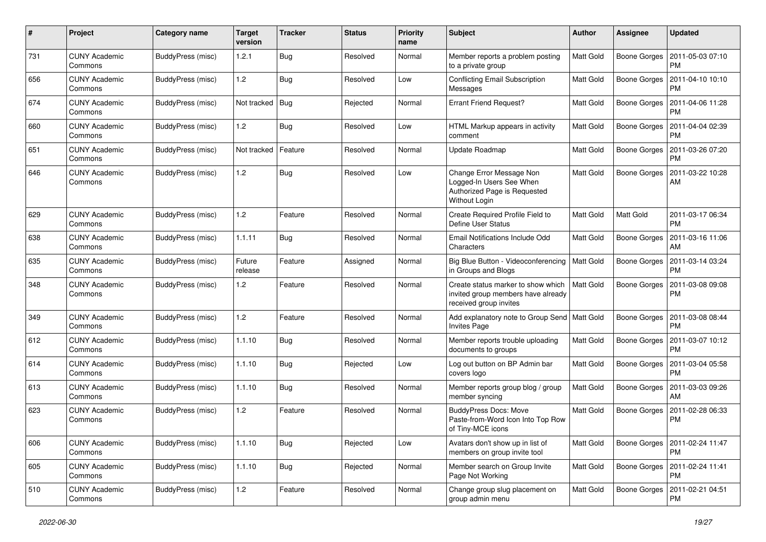| $\#$ | Project                         | Category name            | <b>Target</b><br>version | <b>Tracker</b> | <b>Status</b> | <b>Priority</b><br>name | Subject                                                                                               | Author           | <b>Assignee</b>     | <b>Updated</b>                               |
|------|---------------------------------|--------------------------|--------------------------|----------------|---------------|-------------------------|-------------------------------------------------------------------------------------------------------|------------------|---------------------|----------------------------------------------|
| 731  | <b>CUNY Academic</b><br>Commons | BuddyPress (misc)        | 1.2.1                    | <b>Bug</b>     | Resolved      | Normal                  | Member reports a problem posting<br>to a private group                                                | <b>Matt Gold</b> | Boone Gorges        | 2011-05-03 07:10<br><b>PM</b>                |
| 656  | <b>CUNY Academic</b><br>Commons | BuddyPress (misc)        | 1.2                      | Bug            | Resolved      | Low                     | <b>Conflicting Email Subscription</b><br>Messages                                                     | <b>Matt Gold</b> | Boone Gorges        | 2011-04-10 10:10<br><b>PM</b>                |
| 674  | <b>CUNY Academic</b><br>Commons | BuddyPress (misc)        | Not tracked              | <b>Bug</b>     | Rejected      | Normal                  | <b>Errant Friend Request?</b>                                                                         | Matt Gold        | Boone Gorges        | 2011-04-06 11:28<br><b>PM</b>                |
| 660  | <b>CUNY Academic</b><br>Commons | BuddyPress (misc)        | 1.2                      | <b>Bug</b>     | Resolved      | Low                     | HTML Markup appears in activity<br>comment                                                            | Matt Gold        | <b>Boone Gorges</b> | 2011-04-04 02:39<br><b>PM</b>                |
| 651  | <b>CUNY Academic</b><br>Commons | <b>BuddyPress (misc)</b> | Not tracked              | Feature        | Resolved      | Normal                  | Update Roadmap                                                                                        | <b>Matt Gold</b> | Boone Gorges        | 2011-03-26 07:20<br><b>PM</b>                |
| 646  | <b>CUNY Academic</b><br>Commons | BuddyPress (misc)        | 1.2                      | Bug            | Resolved      | Low                     | Change Error Message Non<br>Logged-In Users See When<br>Authorized Page is Requested<br>Without Login | Matt Gold        | Boone Gorges        | 2011-03-22 10:28<br>AM                       |
| 629  | <b>CUNY Academic</b><br>Commons | BuddyPress (misc)        | 1.2                      | Feature        | Resolved      | Normal                  | Create Required Profile Field to<br>Define User Status                                                | <b>Matt Gold</b> | Matt Gold           | 2011-03-17 06:34<br>PM                       |
| 638  | <b>CUNY Academic</b><br>Commons | BuddyPress (misc)        | 1.1.11                   | Bug            | Resolved      | Normal                  | Email Notifications Include Odd<br>Characters                                                         | <b>Matt Gold</b> | Boone Gorges        | 2011-03-16 11:06<br>AM                       |
| 635  | <b>CUNY Academic</b><br>Commons | <b>BuddyPress (misc)</b> | Future<br>release        | Feature        | Assigned      | Normal                  | Big Blue Button - Videoconferencing   Matt Gold<br>in Groups and Blogs                                |                  | <b>Boone Gorges</b> | 2011-03-14 03:24<br>PM                       |
| 348  | <b>CUNY Academic</b><br>Commons | BuddyPress (misc)        | 1.2                      | Feature        | Resolved      | Normal                  | Create status marker to show which<br>invited group members have already<br>received group invites    | Matt Gold        | <b>Boone Gorges</b> | 2011-03-08 09:08<br><b>PM</b>                |
| 349  | <b>CUNY Academic</b><br>Commons | BuddyPress (misc)        | 1.2                      | Feature        | Resolved      | Normal                  | Add explanatory note to Group Send   Matt Gold<br>Invites Page                                        |                  | Boone Gorges        | 2011-03-08 08:44<br><b>PM</b>                |
| 612  | <b>CUNY Academic</b><br>Commons | BuddyPress (misc)        | 1.1.10                   | Bug            | Resolved      | Normal                  | Member reports trouble uploading<br>documents to groups                                               | <b>Matt Gold</b> | Boone Gorges        | 2011-03-07 10:12<br><b>PM</b>                |
| 614  | <b>CUNY Academic</b><br>Commons | BuddyPress (misc)        | 1.1.10                   | Bug            | Rejected      | Low                     | Log out button on BP Admin bar<br>covers logo                                                         | Matt Gold        | <b>Boone Gorges</b> | 2011-03-04 05:58<br><b>PM</b>                |
| 613  | <b>CUNY Academic</b><br>Commons | BuddyPress (misc)        | 1.1.10                   | Bug            | Resolved      | Normal                  | Member reports group blog / group<br>member syncing                                                   | Matt Gold        | Boone Gorges        | 2011-03-03 09:26<br>AM                       |
| 623  | <b>CUNY Academic</b><br>Commons | BuddyPress (misc)        | 1.2                      | Feature        | Resolved      | Normal                  | <b>BuddyPress Docs: Move</b><br>Paste-from-Word Icon Into Top Row<br>of Tiny-MCE icons                | Matt Gold        | <b>Boone Gorges</b> | 2011-02-28 06:33<br><b>PM</b>                |
| 606  | <b>CUNY Academic</b><br>Commons | BuddyPress (misc)        | 1.1.10                   | <b>Bug</b>     | Rejected      | Low                     | Avatars don't show up in list of<br>members on group invite tool                                      | Matt Gold        |                     | Boone Gorges   2011-02-24 11:47<br>PM        |
| 605  | <b>CUNY Academic</b><br>Commons | BuddyPress (misc)        | 1.1.10                   | <b>Bug</b>     | Rejected      | Normal                  | Member search on Group Invite<br>Page Not Working                                                     | Matt Gold        |                     | Boone Gorges   2011-02-24 11:41<br><b>PM</b> |
| 510  | <b>CUNY Academic</b><br>Commons | BuddyPress (misc)        | 1.2                      | Feature        | Resolved      | Normal                  | Change group slug placement on<br>group admin menu                                                    | Matt Gold        |                     | Boone Gorges   2011-02-21 04:51<br>PM        |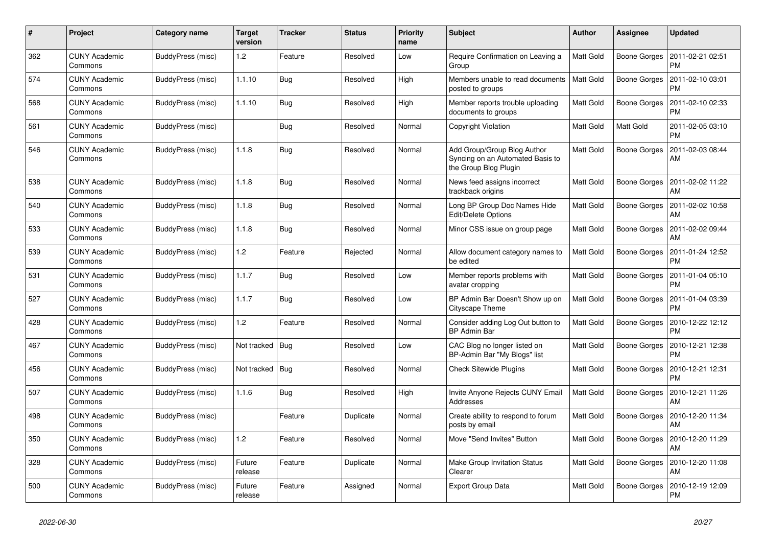| $\#$ | Project                         | Category name     | <b>Target</b><br>version | <b>Tracker</b> | <b>Status</b> | <b>Priority</b><br>name | <b>Subject</b>                                                                           | <b>Author</b>    | <b>Assignee</b> | <b>Updated</b>                |
|------|---------------------------------|-------------------|--------------------------|----------------|---------------|-------------------------|------------------------------------------------------------------------------------------|------------------|-----------------|-------------------------------|
| 362  | <b>CUNY Academic</b><br>Commons | BuddyPress (misc) | 1.2                      | Feature        | Resolved      | Low                     | Require Confirmation on Leaving a<br>Group                                               | <b>Matt Gold</b> | Boone Gorges    | 2011-02-21 02:51<br><b>PM</b> |
| 574  | <b>CUNY Academic</b><br>Commons | BuddyPress (misc) | 1.1.10                   | <b>Bug</b>     | Resolved      | High                    | Members unable to read documents<br>posted to groups                                     | Matt Gold        | Boone Gorges    | 2011-02-10 03:01<br><b>PM</b> |
| 568  | <b>CUNY Academic</b><br>Commons | BuddyPress (misc) | 1.1.10                   | Bug            | Resolved      | High                    | Member reports trouble uploading<br>documents to groups                                  | Matt Gold        | Boone Gorges    | 2011-02-10 02:33<br><b>PM</b> |
| 561  | <b>CUNY Academic</b><br>Commons | BuddyPress (misc) |                          | <b>Bug</b>     | Resolved      | Normal                  | <b>Copyright Violation</b>                                                               | Matt Gold        | Matt Gold       | 2011-02-05 03:10<br><b>PM</b> |
| 546  | <b>CUNY Academic</b><br>Commons | BuddyPress (misc) | 1.1.8                    | <b>Bug</b>     | Resolved      | Normal                  | Add Group/Group Blog Author<br>Syncing on an Automated Basis to<br>the Group Blog Plugin | Matt Gold        | Boone Gorges    | 2011-02-03 08:44<br>AM        |
| 538  | <b>CUNY Academic</b><br>Commons | BuddyPress (misc) | 1.1.8                    | Bug            | Resolved      | Normal                  | News feed assigns incorrect<br>trackback origins                                         | Matt Gold        | Boone Gorges    | 2011-02-02 11:22<br>AM        |
| 540  | <b>CUNY Academic</b><br>Commons | BuddyPress (misc) | 1.1.8                    | <b>Bug</b>     | Resolved      | Normal                  | Long BP Group Doc Names Hide<br>Edit/Delete Options                                      | <b>Matt Gold</b> | Boone Gorges    | 2011-02-02 10:58<br>AM        |
| 533  | <b>CUNY Academic</b><br>Commons | BuddyPress (misc) | 1.1.8                    | <b>Bug</b>     | Resolved      | Normal                  | Minor CSS issue on group page                                                            | Matt Gold        | Boone Gorges    | 2011-02-02 09:44<br>AM        |
| 539  | <b>CUNY Academic</b><br>Commons | BuddyPress (misc) | 1.2                      | Feature        | Rejected      | Normal                  | Allow document category names to<br>be edited                                            | Matt Gold        | Boone Gorges    | 2011-01-24 12:52<br><b>PM</b> |
| 531  | <b>CUNY Academic</b><br>Commons | BuddyPress (misc) | 1.1.7                    | <b>Bug</b>     | Resolved      | Low                     | Member reports problems with<br>avatar cropping                                          | Matt Gold        | Boone Gorges    | 2011-01-04 05:10<br><b>PM</b> |
| 527  | <b>CUNY Academic</b><br>Commons | BuddyPress (misc) | 1.1.7                    | <b>Bug</b>     | Resolved      | Low                     | BP Admin Bar Doesn't Show up on<br>Cityscape Theme                                       | Matt Gold        | Boone Gorges    | 2011-01-04 03:39<br><b>PM</b> |
| 428  | <b>CUNY Academic</b><br>Commons | BuddyPress (misc) | 1.2                      | Feature        | Resolved      | Normal                  | Consider adding Log Out button to<br><b>BP Admin Bar</b>                                 | <b>Matt Gold</b> | Boone Gorges    | 2010-12-22 12:12<br><b>PM</b> |
| 467  | <b>CUNY Academic</b><br>Commons | BuddyPress (misc) | Not tracked              | Bug            | Resolved      | Low                     | CAC Blog no longer listed on<br>BP-Admin Bar "My Blogs" list                             | Matt Gold        | Boone Gorges    | 2010-12-21 12:38<br><b>PM</b> |
| 456  | <b>CUNY Academic</b><br>Commons | BuddyPress (misc) | Not tracked              | Bug            | Resolved      | Normal                  | <b>Check Sitewide Plugins</b>                                                            | <b>Matt Gold</b> | Boone Gorges    | 2010-12-21 12:31<br><b>PM</b> |
| 507  | <b>CUNY Academic</b><br>Commons | BuddyPress (misc) | 1.1.6                    | <b>Bug</b>     | Resolved      | High                    | Invite Anyone Rejects CUNY Email<br>Addresses                                            | Matt Gold        | Boone Gorges    | 2010-12-21 11:26<br>AM        |
| 498  | <b>CUNY Academic</b><br>Commons | BuddyPress (misc) |                          | Feature        | Duplicate     | Normal                  | Create ability to respond to forum<br>posts by email                                     | Matt Gold        | Boone Gorges    | 2010-12-20 11:34<br>AM        |
| 350  | <b>CUNY Academic</b><br>Commons | BuddyPress (misc) | 1.2                      | Feature        | Resolved      | Normal                  | Move "Send Invites" Button                                                               | <b>Matt Gold</b> | Boone Gorges    | 2010-12-20 11:29<br>AM        |
| 328  | <b>CUNY Academic</b><br>Commons | BuddyPress (misc) | Future<br>release        | Feature        | Duplicate     | Normal                  | Make Group Invitation Status<br>Clearer                                                  | <b>Matt Gold</b> | Boone Gorges    | 2010-12-20 11:08<br>AM        |
| 500  | <b>CUNY Academic</b><br>Commons | BuddyPress (misc) | Future<br>release        | Feature        | Assigned      | Normal                  | <b>Export Group Data</b>                                                                 | Matt Gold        | Boone Gorges    | 2010-12-19 12:09<br><b>PM</b> |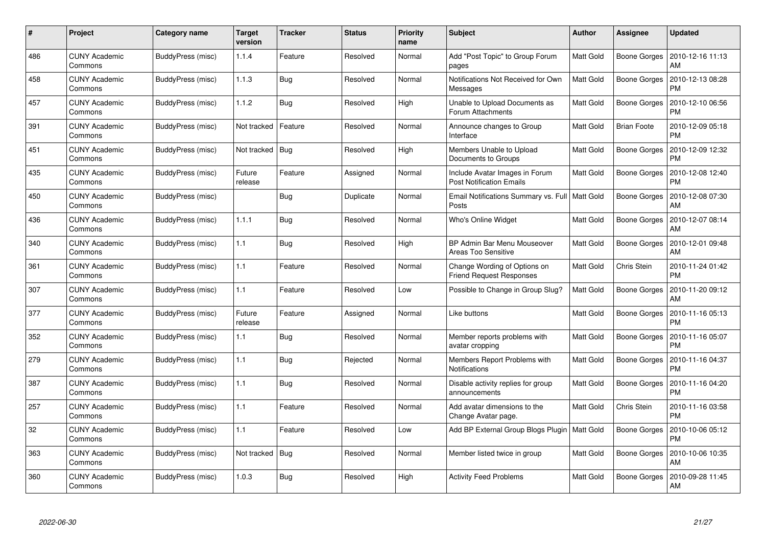| #   | Project                         | Category name            | <b>Target</b><br>version | <b>Tracker</b> | <b>Status</b> | <b>Priority</b><br>name | <b>Subject</b>                                                    | <b>Author</b>    | <b>Assignee</b>     | <b>Updated</b>                |
|-----|---------------------------------|--------------------------|--------------------------|----------------|---------------|-------------------------|-------------------------------------------------------------------|------------------|---------------------|-------------------------------|
| 486 | <b>CUNY Academic</b><br>Commons | BuddyPress (misc)        | 1.1.4                    | Feature        | Resolved      | Normal                  | Add "Post Topic" to Group Forum<br>pages                          | <b>Matt Gold</b> | Boone Gorges        | 2010-12-16 11:13<br>AM        |
| 458 | <b>CUNY Academic</b><br>Commons | BuddyPress (misc)        | 1.1.3                    | <b>Bug</b>     | Resolved      | Normal                  | Notifications Not Received for Own<br>Messages                    | Matt Gold        | Boone Gorges        | 2010-12-13 08:28<br><b>PM</b> |
| 457 | <b>CUNY Academic</b><br>Commons | BuddyPress (misc)        | 1.1.2                    | Bug            | Resolved      | High                    | Unable to Upload Documents as<br>Forum Attachments                | <b>Matt Gold</b> | <b>Boone Gorges</b> | 2010-12-10 06:56<br><b>PM</b> |
| 391 | <b>CUNY Academic</b><br>Commons | BuddyPress (misc)        | Not tracked              | Feature        | Resolved      | Normal                  | Announce changes to Group<br>Interface                            | <b>Matt Gold</b> | <b>Brian Foote</b>  | 2010-12-09 05:18<br><b>PM</b> |
| 451 | <b>CUNY Academic</b><br>Commons | BuddyPress (misc)        | Not tracked              | Bug            | Resolved      | High                    | Members Unable to Upload<br>Documents to Groups                   | <b>Matt Gold</b> | Boone Gorges        | 2010-12-09 12:32<br><b>PM</b> |
| 435 | <b>CUNY Academic</b><br>Commons | <b>BuddyPress (misc)</b> | Future<br>release        | Feature        | Assigned      | Normal                  | Include Avatar Images in Forum<br><b>Post Notification Emails</b> | Matt Gold        | Boone Gorges        | 2010-12-08 12:40<br><b>PM</b> |
| 450 | <b>CUNY Academic</b><br>Commons | BuddyPress (misc)        |                          | <b>Bug</b>     | Duplicate     | Normal                  | Email Notifications Summary vs. Full   Matt Gold<br>Posts         |                  | Boone Gorges        | 2010-12-08 07:30<br>AM        |
| 436 | <b>CUNY Academic</b><br>Commons | BuddyPress (misc)        | 1.1.1                    | Bug            | Resolved      | Normal                  | Who's Online Widget                                               | <b>Matt Gold</b> | <b>Boone Gorges</b> | 2010-12-07 08:14<br>AM        |
| 340 | <b>CUNY Academic</b><br>Commons | BuddyPress (misc)        | 1.1                      | Bug            | Resolved      | High                    | BP Admin Bar Menu Mouseover<br>Areas Too Sensitive                | <b>Matt Gold</b> | Boone Gorges        | 2010-12-01 09:48<br>AM        |
| 361 | <b>CUNY Academic</b><br>Commons | BuddyPress (misc)        | 1.1                      | Feature        | Resolved      | Normal                  | Change Wording of Options on<br><b>Friend Request Responses</b>   | Matt Gold        | Chris Stein         | 2010-11-24 01:42<br><b>PM</b> |
| 307 | <b>CUNY Academic</b><br>Commons | BuddyPress (misc)        | 1.1                      | Feature        | Resolved      | Low                     | Possible to Change in Group Slug?                                 | Matt Gold        | Boone Gorges        | 2010-11-20 09:12<br>AM        |
| 377 | <b>CUNY Academic</b><br>Commons | BuddyPress (misc)        | Future<br>release        | Feature        | Assigned      | Normal                  | Like buttons                                                      | Matt Gold        | Boone Gorges        | 2010-11-16 05:13<br>PM        |
| 352 | <b>CUNY Academic</b><br>Commons | BuddyPress (misc)        | 1.1                      | <b>Bug</b>     | Resolved      | Normal                  | Member reports problems with<br>avatar cropping                   | <b>Matt Gold</b> | Boone Gorges        | 2010-11-16 05:07<br><b>PM</b> |
| 279 | <b>CUNY Academic</b><br>Commons | BuddyPress (misc)        | 1.1                      | <b>Bug</b>     | Rejected      | Normal                  | Members Report Problems with<br>Notifications                     | <b>Matt Gold</b> | Boone Gorges        | 2010-11-16 04:37<br><b>PM</b> |
| 387 | CUNY Academic<br>Commons        | BuddyPress (misc)        | 1.1                      | Bug            | Resolved      | Normal                  | Disable activity replies for group<br>announcements               | Matt Gold        | Boone Gorges        | 2010-11-16 04:20<br><b>PM</b> |
| 257 | CUNY Academic<br>Commons        | BuddyPress (misc)        | 1.1                      | Feature        | Resolved      | Normal                  | Add avatar dimensions to the<br>Change Avatar page.               | Matt Gold        | Chris Stein         | 2010-11-16 03:58<br><b>PM</b> |
| 32  | <b>CUNY Academic</b><br>Commons | BuddyPress (misc)        | 1.1                      | Feature        | Resolved      | Low                     | Add BP External Group Blogs Plugin                                | Matt Gold        | Boone Gorges        | 2010-10-06 05:12<br><b>PM</b> |
| 363 | <b>CUNY Academic</b><br>Commons | BuddyPress (misc)        | Not tracked              | <b>Bug</b>     | Resolved      | Normal                  | Member listed twice in group                                      | Matt Gold        | Boone Gorges        | 2010-10-06 10:35<br>AM        |
| 360 | CUNY Academic<br>Commons        | BuddyPress (misc)        | 1.0.3                    | Bug            | Resolved      | High                    | <b>Activity Feed Problems</b>                                     | Matt Gold        | Boone Gorges        | 2010-09-28 11:45<br>AM        |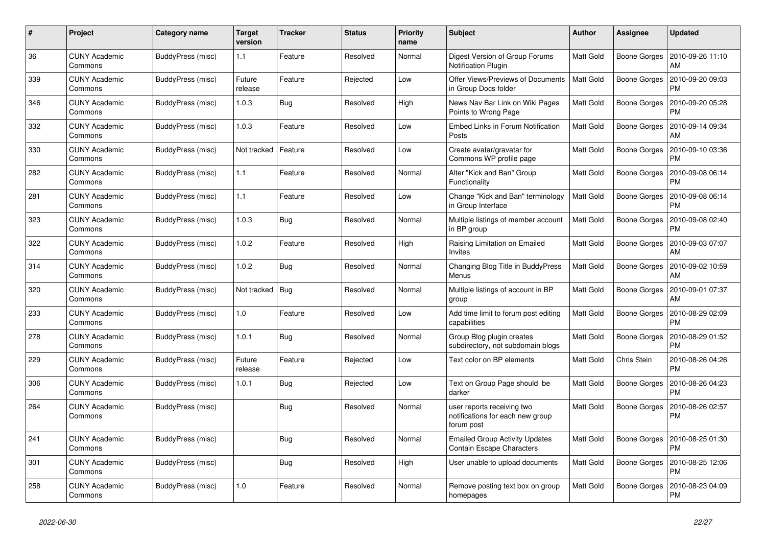| #   | Project                         | Category name     | <b>Target</b><br>version | <b>Tracker</b> | <b>Status</b> | <b>Priority</b><br>name | <b>Subject</b>                                                               | <b>Author</b>    | Assignee            | <b>Updated</b>                |
|-----|---------------------------------|-------------------|--------------------------|----------------|---------------|-------------------------|------------------------------------------------------------------------------|------------------|---------------------|-------------------------------|
| 36  | <b>CUNY Academic</b><br>Commons | BuddyPress (misc) | 1.1                      | Feature        | Resolved      | Normal                  | Digest Version of Group Forums<br>Notification Plugin                        | Matt Gold        | Boone Gorges        | 2010-09-26 11:10<br>AM        |
| 339 | <b>CUNY Academic</b><br>Commons | BuddyPress (misc) | Future<br>release        | Feature        | Rejected      | Low                     | Offer Views/Previews of Documents<br>in Group Docs folder                    | <b>Matt Gold</b> | <b>Boone Gorges</b> | 2010-09-20 09:03<br><b>PM</b> |
| 346 | CUNY Academic<br>Commons        | BuddyPress (misc) | 1.0.3                    | Bug            | Resolved      | High                    | News Nav Bar Link on Wiki Pages<br>Points to Wrong Page                      | Matt Gold        | Boone Gorges        | 2010-09-20 05:28<br>PM        |
| 332 | <b>CUNY Academic</b><br>Commons | BuddyPress (misc) | 1.0.3                    | Feature        | Resolved      | Low                     | Embed Links in Forum Notification<br>Posts                                   | Matt Gold        | Boone Gorges        | 2010-09-14 09:34<br>AM        |
| 330 | <b>CUNY Academic</b><br>Commons | BuddyPress (misc) | Not tracked              | Feature        | Resolved      | Low                     | Create avatar/gravatar for<br>Commons WP profile page                        | Matt Gold        | Boone Gorges        | 2010-09-10 03:36<br>PM        |
| 282 | <b>CUNY Academic</b><br>Commons | BuddyPress (misc) | 1.1                      | Feature        | Resolved      | Normal                  | Alter "Kick and Ban" Group<br>Functionality                                  | Matt Gold        | Boone Gorges        | 2010-09-08 06:14<br><b>PM</b> |
| 281 | <b>CUNY Academic</b><br>Commons | BuddyPress (misc) | 1.1                      | Feature        | Resolved      | Low                     | Change "Kick and Ban" terminology<br>in Group Interface                      | <b>Matt Gold</b> | Boone Gorges        | 2010-09-08 06:14<br><b>PM</b> |
| 323 | <b>CUNY Academic</b><br>Commons | BuddyPress (misc) | 1.0.3                    | Bug            | Resolved      | Normal                  | Multiple listings of member account<br>in BP group                           | Matt Gold        | Boone Gorges        | 2010-09-08 02:40<br><b>PM</b> |
| 322 | <b>CUNY Academic</b><br>Commons | BuddyPress (misc) | 1.0.2                    | Feature        | Resolved      | High                    | Raising Limitation on Emailed<br>Invites                                     | Matt Gold        | Boone Gorges        | 2010-09-03 07:07<br>AM        |
| 314 | <b>CUNY Academic</b><br>Commons | BuddyPress (misc) | 1.0.2                    | Bug            | Resolved      | Normal                  | Changing Blog Title in BuddyPress<br>Menus                                   | Matt Gold        | Boone Gorges        | 2010-09-02 10:59<br>AM        |
| 320 | <b>CUNY Academic</b><br>Commons | BuddyPress (misc) | Not tracked              | Bug            | Resolved      | Normal                  | Multiple listings of account in BP<br>group                                  | Matt Gold        | Boone Gorges        | 2010-09-01 07:37<br>AM        |
| 233 | <b>CUNY Academic</b><br>Commons | BuddyPress (misc) | 1.0                      | Feature        | Resolved      | Low                     | Add time limit to forum post editing<br>capabilities                         | Matt Gold        | Boone Gorges        | 2010-08-29 02:09<br><b>PM</b> |
| 278 | <b>CUNY Academic</b><br>Commons | BuddyPress (misc) | 1.0.1                    | Bug            | Resolved      | Normal                  | Group Blog plugin creates<br>subdirectory, not subdomain blogs               | Matt Gold        | Boone Gorges        | 2010-08-29 01:52<br><b>PM</b> |
| 229 | <b>CUNY Academic</b><br>Commons | BuddyPress (misc) | Future<br>release        | Feature        | Rejected      | Low                     | Text color on BP elements                                                    | Matt Gold        | Chris Stein         | 2010-08-26 04:26<br><b>PM</b> |
| 306 | <b>CUNY Academic</b><br>Commons | BuddyPress (misc) | 1.0.1                    | Bug            | Rejected      | Low                     | Text on Group Page should be<br>darker                                       | Matt Gold        | <b>Boone Gorges</b> | 2010-08-26 04:23<br><b>PM</b> |
| 264 | <b>CUNY Academic</b><br>Commons | BuddyPress (misc) |                          | Bug            | Resolved      | Normal                  | user reports receiving two<br>notifications for each new group<br>forum post | Matt Gold        | Boone Gorges        | 2010-08-26 02:57<br><b>PM</b> |
| 241 | <b>CUNY Academic</b><br>Commons | BuddyPress (misc) |                          | Bug            | Resolved      | Normal                  | <b>Emailed Group Activity Updates</b><br>Contain Escape Characters           | Matt Gold        | Boone Gorges        | 2010-08-25 01:30<br><b>PM</b> |
| 301 | <b>CUNY Academic</b><br>Commons | BuddyPress (misc) |                          | Bug            | Resolved      | High                    | User unable to upload documents                                              | <b>Matt Gold</b> | Boone Gorges        | 2010-08-25 12:06<br><b>PM</b> |
| 258 | <b>CUNY Academic</b><br>Commons | BuddyPress (misc) | 1.0                      | Feature        | Resolved      | Normal                  | Remove posting text box on group<br>homepages                                | Matt Gold        | <b>Boone Gorges</b> | 2010-08-23 04:09<br><b>PM</b> |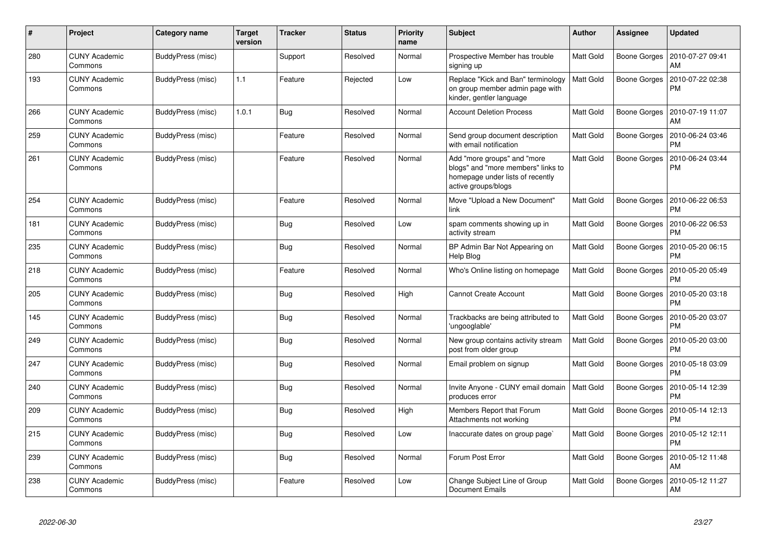| $\#$ | Project                         | Category name     | <b>Target</b><br>version | <b>Tracker</b> | <b>Status</b> | <b>Priority</b><br>name | <b>Subject</b>                                                                                                               | <b>Author</b>    | Assignee            | <b>Updated</b>                |
|------|---------------------------------|-------------------|--------------------------|----------------|---------------|-------------------------|------------------------------------------------------------------------------------------------------------------------------|------------------|---------------------|-------------------------------|
| 280  | <b>CUNY Academic</b><br>Commons | BuddyPress (misc) |                          | Support        | Resolved      | Normal                  | Prospective Member has trouble<br>signing up                                                                                 | <b>Matt Gold</b> | Boone Gorges        | 2010-07-27 09:41<br>AM        |
| 193  | CUNY Academic<br>Commons        | BuddyPress (misc) | 1.1                      | Feature        | Rejected      | Low                     | Replace "Kick and Ban" terminology<br>on group member admin page with<br>kinder, gentler language                            | <b>Matt Gold</b> | Boone Gorges        | 2010-07-22 02:38<br><b>PM</b> |
| 266  | <b>CUNY Academic</b><br>Commons | BuddyPress (misc) | 1.0.1                    | Bug            | Resolved      | Normal                  | <b>Account Deletion Process</b>                                                                                              | <b>Matt Gold</b> | Boone Gorges        | 2010-07-19 11:07<br>AM        |
| 259  | <b>CUNY Academic</b><br>Commons | BuddyPress (misc) |                          | Feature        | Resolved      | Normal                  | Send group document description<br>with email notification                                                                   | <b>Matt Gold</b> | Boone Gorges        | 2010-06-24 03:46<br><b>PM</b> |
| 261  | CUNY Academic<br>Commons        | BuddyPress (misc) |                          | Feature        | Resolved      | Normal                  | Add "more groups" and "more<br>blogs" and "more members" links to<br>homepage under lists of recently<br>active groups/blogs | Matt Gold        | Boone Gorges        | 2010-06-24 03:44<br><b>PM</b> |
| 254  | <b>CUNY Academic</b><br>Commons | BuddyPress (misc) |                          | Feature        | Resolved      | Normal                  | Move "Upload a New Document"<br>link                                                                                         | <b>Matt Gold</b> | Boone Gorges        | 2010-06-22 06:53<br><b>PM</b> |
| 181  | <b>CUNY Academic</b><br>Commons | BuddyPress (misc) |                          | Bug            | Resolved      | Low                     | spam comments showing up in<br>activity stream                                                                               | <b>Matt Gold</b> | Boone Gorges        | 2010-06-22 06:53<br><b>PM</b> |
| 235  | <b>CUNY Academic</b><br>Commons | BuddyPress (misc) |                          | Bug            | Resolved      | Normal                  | BP Admin Bar Not Appearing on<br>Help Blog                                                                                   | <b>Matt Gold</b> | <b>Boone Gorges</b> | 2010-05-20 06:15<br><b>PM</b> |
| 218  | <b>CUNY Academic</b><br>Commons | BuddyPress (misc) |                          | Feature        | Resolved      | Normal                  | Who's Online listing on homepage                                                                                             | <b>Matt Gold</b> | Boone Gorges        | 2010-05-20 05:49<br><b>PM</b> |
| 205  | <b>CUNY Academic</b><br>Commons | BuddyPress (misc) |                          | <b>Bug</b>     | Resolved      | High                    | <b>Cannot Create Account</b>                                                                                                 | Matt Gold        | Boone Gorges        | 2010-05-20 03:18<br><b>PM</b> |
| 145  | <b>CUNY Academic</b><br>Commons | BuddyPress (misc) |                          | <b>Bug</b>     | Resolved      | Normal                  | Trackbacks are being attributed to<br>'ungooglable'                                                                          | <b>Matt Gold</b> | Boone Gorges        | 2010-05-20 03:07<br><b>PM</b> |
| 249  | <b>CUNY Academic</b><br>Commons | BuddyPress (misc) |                          | <b>Bug</b>     | Resolved      | Normal                  | New group contains activity stream<br>post from older group                                                                  | Matt Gold        | Boone Gorges        | 2010-05-20 03:00<br><b>PM</b> |
| 247  | <b>CUNY Academic</b><br>Commons | BuddyPress (misc) |                          | Bug            | Resolved      | Normal                  | Email problem on signup                                                                                                      | Matt Gold        | Boone Gorges        | 2010-05-18 03:09<br><b>PM</b> |
| 240  | CUNY Academic<br>Commons        | BuddyPress (misc) |                          | Bug            | Resolved      | Normal                  | Invite Anyone - CUNY email domain<br>produces error                                                                          | Matt Gold        | Boone Gorges        | 2010-05-14 12:39<br><b>PM</b> |
| 209  | <b>CUNY Academic</b><br>Commons | BuddyPress (misc) |                          | <b>Bug</b>     | Resolved      | High                    | Members Report that Forum<br>Attachments not working                                                                         | Matt Gold        | Boone Gorges        | 2010-05-14 12:13<br><b>PM</b> |
| 215  | <b>CUNY Academic</b><br>Commons | BuddyPress (misc) |                          | Bug            | Resolved      | Low                     | Inaccurate dates on group page`                                                                                              | <b>Matt Gold</b> | Boone Gorges        | 2010-05-12 12:11<br><b>PM</b> |
| 239  | <b>CUNY Academic</b><br>Commons | BuddyPress (misc) |                          | Bug            | Resolved      | Normal                  | Forum Post Error                                                                                                             | <b>Matt Gold</b> | Boone Gorges        | 2010-05-12 11:48<br>AM        |
| 238  | CUNY Academic<br>Commons        | BuddyPress (misc) |                          | Feature        | Resolved      | Low                     | Change Subject Line of Group<br><b>Document Emails</b>                                                                       | <b>Matt Gold</b> | Boone Gorges        | 2010-05-12 11:27<br>AM        |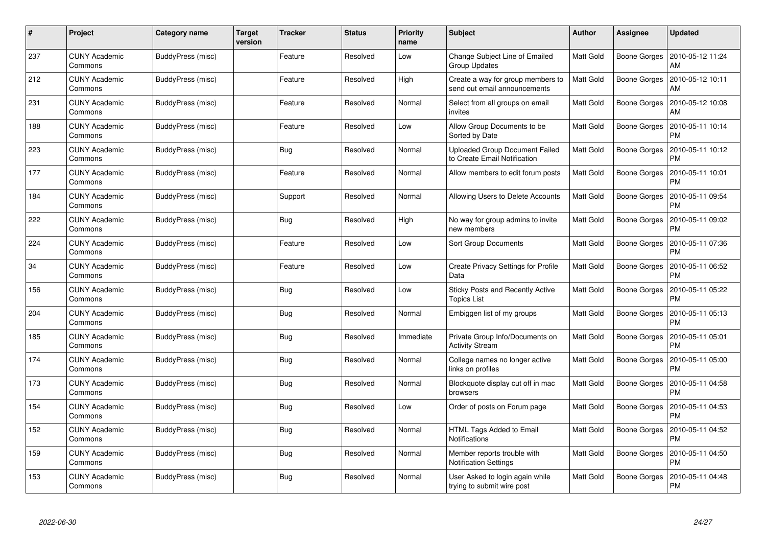| #   | Project                         | Category name            | <b>Target</b><br>version | Tracker    | <b>Status</b> | <b>Priority</b><br>name | <b>Subject</b>                                                        | <b>Author</b>    | Assignee     | <b>Updated</b>                |
|-----|---------------------------------|--------------------------|--------------------------|------------|---------------|-------------------------|-----------------------------------------------------------------------|------------------|--------------|-------------------------------|
| 237 | <b>CUNY Academic</b><br>Commons | BuddyPress (misc)        |                          | Feature    | Resolved      | Low                     | <b>Change Subject Line of Emailed</b><br><b>Group Updates</b>         | Matt Gold        | Boone Gorges | 2010-05-12 11:24<br>AM        |
| 212 | <b>CUNY Academic</b><br>Commons | BuddyPress (misc)        |                          | Feature    | Resolved      | High                    | Create a way for group members to<br>send out email announcements     | <b>Matt Gold</b> | Boone Gorges | 2010-05-12 10:11<br>AM        |
| 231 | <b>CUNY Academic</b><br>Commons | BuddyPress (misc)        |                          | Feature    | Resolved      | Normal                  | Select from all groups on email<br>invites                            | Matt Gold        | Boone Gorges | 2010-05-12 10:08<br>AM        |
| 188 | <b>CUNY Academic</b><br>Commons | BuddyPress (misc)        |                          | Feature    | Resolved      | Low                     | Allow Group Documents to be<br>Sorted by Date                         | Matt Gold        | Boone Gorges | 2010-05-11 10:14<br>PM        |
| 223 | <b>CUNY Academic</b><br>Commons | BuddyPress (misc)        |                          | Bug        | Resolved      | Normal                  | <b>Uploaded Group Document Failed</b><br>to Create Email Notification | Matt Gold        | Boone Gorges | 2010-05-11 10:12<br>PM        |
| 177 | <b>CUNY Academic</b><br>Commons | <b>BuddyPress (misc)</b> |                          | Feature    | Resolved      | Normal                  | Allow members to edit forum posts                                     | Matt Gold        | Boone Gorges | 2010-05-11 10:01<br>PM        |
| 184 | <b>CUNY Academic</b><br>Commons | BuddyPress (misc)        |                          | Support    | Resolved      | Normal                  | Allowing Users to Delete Accounts                                     | Matt Gold        | Boone Gorges | 2010-05-11 09:54<br><b>PM</b> |
| 222 | <b>CUNY Academic</b><br>Commons | BuddyPress (misc)        |                          | Bug        | Resolved      | High                    | No way for group admins to invite<br>new members                      | Matt Gold        | Boone Gorges | 2010-05-11 09:02<br><b>PM</b> |
| 224 | <b>CUNY Academic</b><br>Commons | BuddyPress (misc)        |                          | Feature    | Resolved      | Low                     | <b>Sort Group Documents</b>                                           | Matt Gold        | Boone Gorges | 2010-05-11 07:36<br>PM        |
| 34  | <b>CUNY Academic</b><br>Commons | BuddyPress (misc)        |                          | Feature    | Resolved      | Low                     | <b>Create Privacy Settings for Profile</b><br>Data                    | Matt Gold        | Boone Gorges | 2010-05-11 06:52<br>РM        |
| 156 | <b>CUNY Academic</b><br>Commons | BuddyPress (misc)        |                          | <b>Bug</b> | Resolved      | Low                     | <b>Sticky Posts and Recently Active</b><br><b>Topics List</b>         | Matt Gold        | Boone Gorges | 2010-05-11 05:22<br>РM        |
| 204 | <b>CUNY Academic</b><br>Commons | BuddyPress (misc)        |                          | <b>Bug</b> | Resolved      | Normal                  | Embiggen list of my groups                                            | Matt Gold        | Boone Gorges | 2010-05-11 05:13<br>PM        |
| 185 | <b>CUNY Academic</b><br>Commons | BuddyPress (misc)        |                          | <b>Bug</b> | Resolved      | Immediate               | Private Group Info/Documents on<br><b>Activity Stream</b>             | Matt Gold        | Boone Gorges | 2010-05-11 05:01<br><b>PM</b> |
| 174 | <b>CUNY Academic</b><br>Commons | BuddyPress (misc)        |                          | Bug        | Resolved      | Normal                  | College names no longer active<br>links on profiles                   | Matt Gold        | Boone Gorges | 2010-05-11 05:00<br>PM        |
| 173 | <b>CUNY Academic</b><br>Commons | BuddyPress (misc)        |                          | Bug        | Resolved      | Normal                  | Blockquote display cut off in mac<br>browsers                         | Matt Gold        | Boone Gorges | 2010-05-11 04:58<br>PM        |
| 154 | <b>CUNY Academic</b><br>Commons | BuddyPress (misc)        |                          | Bug        | Resolved      | Low                     | Order of posts on Forum page                                          | Matt Gold        | Boone Gorges | 2010-05-11 04:53<br>PM        |
| 152 | <b>CUNY Academic</b><br>Commons | BuddyPress (misc)        |                          | Bug        | Resolved      | Normal                  | HTML Tags Added to Email<br><b>Notifications</b>                      | Matt Gold        | Boone Gorges | 2010-05-11 04:52<br><b>PM</b> |
| 159 | <b>CUNY Academic</b><br>Commons | BuddyPress (misc)        |                          | Bug        | Resolved      | Normal                  | Member reports trouble with<br><b>Notification Settings</b>           | Matt Gold        | Boone Gorges | 2010-05-11 04:50<br>PM        |
| 153 | CUNY Academic<br>Commons        | BuddyPress (misc)        |                          | Bug        | Resolved      | Normal                  | User Asked to login again while<br>trying to submit wire post         | Matt Gold        | Boone Gorges | 2010-05-11 04:48<br>PM        |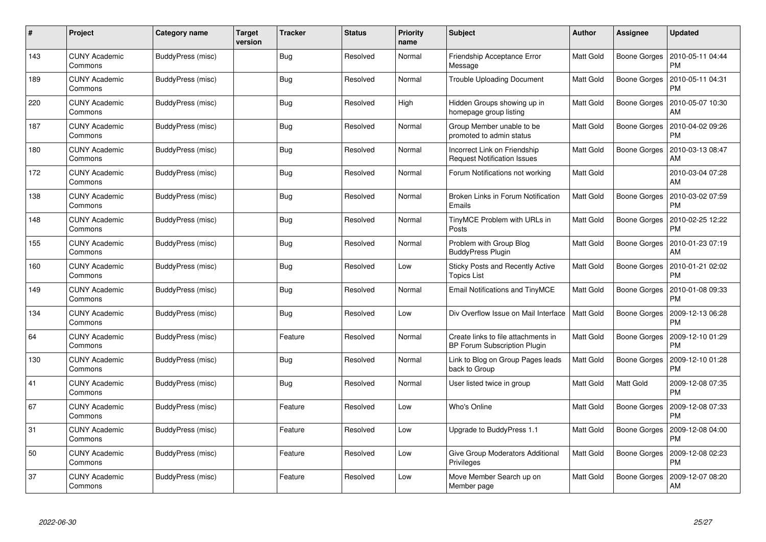| #   | Project                         | Category name     | <b>Target</b><br>version | Tracker    | <b>Status</b> | <b>Priority</b><br>name | <b>Subject</b>                                                             | <b>Author</b>    | <b>Assignee</b>     | <b>Updated</b>                |
|-----|---------------------------------|-------------------|--------------------------|------------|---------------|-------------------------|----------------------------------------------------------------------------|------------------|---------------------|-------------------------------|
| 143 | <b>CUNY Academic</b><br>Commons | BuddyPress (misc) |                          | <b>Bug</b> | Resolved      | Normal                  | Friendship Acceptance Error<br>Message                                     | <b>Matt Gold</b> | Boone Gorges        | 2010-05-11 04:44<br><b>PM</b> |
| 189 | <b>CUNY Academic</b><br>Commons | BuddyPress (misc) |                          | Bug        | Resolved      | Normal                  | <b>Trouble Uploading Document</b>                                          | <b>Matt Gold</b> | Boone Gorges        | 2010-05-11 04:31<br><b>PM</b> |
| 220 | <b>CUNY Academic</b><br>Commons | BuddyPress (misc) |                          | <b>Bug</b> | Resolved      | High                    | Hidden Groups showing up in<br>homepage group listing                      | <b>Matt Gold</b> | Boone Gorges        | 2010-05-07 10:30<br>AM        |
| 187 | <b>CUNY Academic</b><br>Commons | BuddyPress (misc) |                          | <b>Bug</b> | Resolved      | Normal                  | Group Member unable to be<br>promoted to admin status                      | Matt Gold        | Boone Gorges        | 2010-04-02 09:26<br>PM        |
| 180 | <b>CUNY Academic</b><br>Commons | BuddyPress (misc) |                          | Bug        | Resolved      | Normal                  | Incorrect Link on Friendship<br><b>Request Notification Issues</b>         | <b>Matt Gold</b> | Boone Gorges        | 2010-03-13 08:47<br>AM        |
| 172 | <b>CUNY Academic</b><br>Commons | BuddyPress (misc) |                          | Bug        | Resolved      | Normal                  | Forum Notifications not working                                            | <b>Matt Gold</b> |                     | 2010-03-04 07:28<br>AM        |
| 138 | <b>CUNY Academic</b><br>Commons | BuddyPress (misc) |                          | Bug        | Resolved      | Normal                  | Broken Links in Forum Notification<br>Emails                               | Matt Gold        | Boone Gorges        | 2010-03-02 07:59<br><b>PM</b> |
| 148 | <b>CUNY Academic</b><br>Commons | BuddyPress (misc) |                          | <b>Bug</b> | Resolved      | Normal                  | TinyMCE Problem with URLs in<br>Posts                                      | Matt Gold        | Boone Gorges        | 2010-02-25 12:22<br><b>PM</b> |
| 155 | <b>CUNY Academic</b><br>Commons | BuddyPress (misc) |                          | Bug        | Resolved      | Normal                  | Problem with Group Blog<br><b>BuddyPress Plugin</b>                        | Matt Gold        | Boone Gorges        | 2010-01-23 07:19<br>AM        |
| 160 | <b>CUNY Academic</b><br>Commons | BuddyPress (misc) |                          | Bug        | Resolved      | Low                     | Sticky Posts and Recently Active<br><b>Topics List</b>                     | <b>Matt Gold</b> | Boone Gorges        | 2010-01-21 02:02<br><b>PM</b> |
| 149 | <b>CUNY Academic</b><br>Commons | BuddyPress (misc) |                          | <b>Bug</b> | Resolved      | Normal                  | <b>Email Notifications and TinyMCE</b>                                     | Matt Gold        | Boone Gorges        | 2010-01-08 09:33<br><b>PM</b> |
| 134 | <b>CUNY Academic</b><br>Commons | BuddyPress (misc) |                          | Bug        | Resolved      | Low                     | Div Overflow Issue on Mail Interface                                       | Matt Gold        | Boone Gorges        | 2009-12-13 06:28<br><b>PM</b> |
| 64  | <b>CUNY Academic</b><br>Commons | BuddyPress (misc) |                          | Feature    | Resolved      | Normal                  | Create links to file attachments in<br><b>BP Forum Subscription Plugin</b> | <b>Matt Gold</b> | Boone Gorges        | 2009-12-10 01:29<br><b>PM</b> |
| 130 | <b>CUNY Academic</b><br>Commons | BuddyPress (misc) |                          | <b>Bug</b> | Resolved      | Normal                  | Link to Blog on Group Pages leads<br>back to Group                         | Matt Gold        | Boone Gorges        | 2009-12-10 01:28<br><b>PM</b> |
| 41  | <b>CUNY Academic</b><br>Commons | BuddyPress (misc) |                          | <b>Bug</b> | Resolved      | Normal                  | User listed twice in group                                                 | <b>Matt Gold</b> | Matt Gold           | 2009-12-08 07:35<br><b>PM</b> |
| 67  | <b>CUNY Academic</b><br>Commons | BuddyPress (misc) |                          | Feature    | Resolved      | Low                     | Who's Online                                                               | Matt Gold        | <b>Boone Gorges</b> | 2009-12-08 07:33<br><b>PM</b> |
| 31  | <b>CUNY Academic</b><br>Commons | BuddyPress (misc) |                          | Feature    | Resolved      | Low                     | Upgrade to BuddyPress 1.1                                                  | <b>Matt Gold</b> | Boone Gorges        | 2009-12-08 04:00<br><b>PM</b> |
| 50  | <b>CUNY Academic</b><br>Commons | BuddyPress (misc) |                          | Feature    | Resolved      | Low                     | Give Group Moderators Additional<br>Privileges                             | Matt Gold        | Boone Gorges        | 2009-12-08 02:23<br><b>PM</b> |
| 37  | CUNY Academic<br>Commons        | BuddyPress (misc) |                          | Feature    | Resolved      | Low                     | Move Member Search up on<br>Member page                                    | <b>Matt Gold</b> | Boone Gorges        | 2009-12-07 08:20<br>AM        |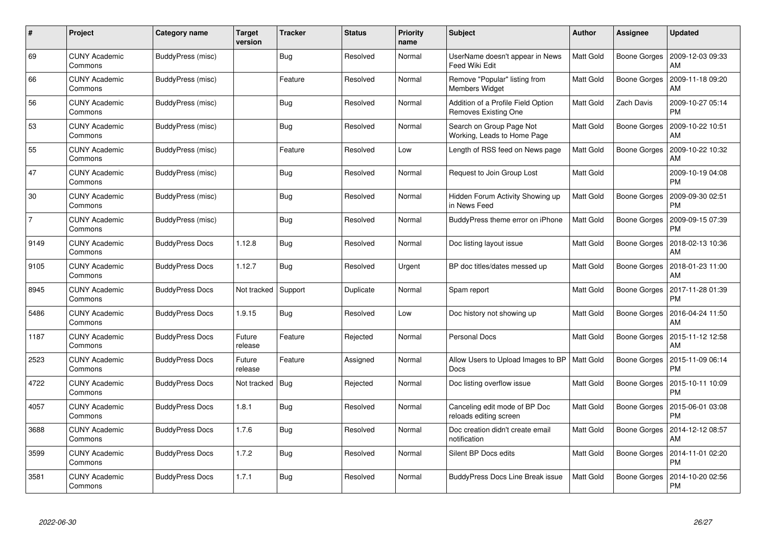| #              | Project                         | Category name          | <b>Target</b><br>version | Tracker    | <b>Status</b> | <b>Priority</b><br>name | <b>Subject</b>                                             | <b>Author</b>    | <b>Assignee</b>     | <b>Updated</b>                |
|----------------|---------------------------------|------------------------|--------------------------|------------|---------------|-------------------------|------------------------------------------------------------|------------------|---------------------|-------------------------------|
| 69             | <b>CUNY Academic</b><br>Commons | BuddyPress (misc)      |                          | <b>Bug</b> | Resolved      | Normal                  | UserName doesn't appear in News<br><b>Feed Wiki Edit</b>   | Matt Gold        | <b>Boone Gorges</b> | 2009-12-03 09:33<br>AM        |
| 66             | <b>CUNY Academic</b><br>Commons | BuddyPress (misc)      |                          | Feature    | Resolved      | Normal                  | Remove "Popular" listing from<br><b>Members Widget</b>     | Matt Gold        | Boone Gorges        | 2009-11-18 09:20<br>AM        |
| 56             | <b>CUNY Academic</b><br>Commons | BuddyPress (misc)      |                          | <b>Bug</b> | Resolved      | Normal                  | Addition of a Profile Field Option<br>Removes Existing One | <b>Matt Gold</b> | Zach Davis          | 2009-10-27 05:14<br><b>PM</b> |
| 53             | <b>CUNY Academic</b><br>Commons | BuddyPress (misc)      |                          | <b>Bug</b> | Resolved      | Normal                  | Search on Group Page Not<br>Working, Leads to Home Page    | Matt Gold        | Boone Gorges        | 2009-10-22 10:51<br>AM        |
| 55             | <b>CUNY Academic</b><br>Commons | BuddyPress (misc)      |                          | Feature    | Resolved      | Low                     | Length of RSS feed on News page                            | Matt Gold        | <b>Boone Gorges</b> | 2009-10-22 10:32<br>AM        |
| 47             | <b>CUNY Academic</b><br>Commons | BuddyPress (misc)      |                          | Bug        | Resolved      | Normal                  | Request to Join Group Lost                                 | Matt Gold        |                     | 2009-10-19 04:08<br><b>PM</b> |
| 30             | <b>CUNY Academic</b><br>Commons | BuddyPress (misc)      |                          | Bug        | Resolved      | Normal                  | Hidden Forum Activity Showing up<br>in News Feed           | Matt Gold        | Boone Gorges        | 2009-09-30 02:51<br><b>PM</b> |
| $\overline{7}$ | <b>CUNY Academic</b><br>Commons | BuddyPress (misc)      |                          | Bug        | Resolved      | Normal                  | BuddyPress theme error on iPhone                           | Matt Gold        | Boone Gorges        | 2009-09-15 07:39<br><b>PM</b> |
| 9149           | <b>CUNY Academic</b><br>Commons | <b>BuddyPress Docs</b> | 1.12.8                   | Bug        | Resolved      | Normal                  | Doc listing layout issue                                   | <b>Matt Gold</b> | Boone Gorges        | 2018-02-13 10:36<br>AM        |
| 9105           | <b>CUNY Academic</b><br>Commons | <b>BuddyPress Docs</b> | 1.12.7                   | <b>Bug</b> | Resolved      | Urgent                  | BP doc titles/dates messed up                              | <b>Matt Gold</b> | Boone Gorges        | 2018-01-23 11:00<br>AM        |
| 8945           | <b>CUNY Academic</b><br>Commons | <b>BuddyPress Docs</b> | Not tracked              | Support    | Duplicate     | Normal                  | Spam report                                                | <b>Matt Gold</b> | Boone Gorges        | 2017-11-28 01:39<br><b>PM</b> |
| 5486           | <b>CUNY Academic</b><br>Commons | <b>BuddyPress Docs</b> | 1.9.15                   | <b>Bug</b> | Resolved      | Low                     | Doc history not showing up                                 | Matt Gold        | Boone Gorges        | 2016-04-24 11:50<br>AM        |
| 1187           | <b>CUNY Academic</b><br>Commons | <b>BuddyPress Docs</b> | Future<br>release        | Feature    | Rejected      | Normal                  | <b>Personal Docs</b>                                       | <b>Matt Gold</b> | Boone Gorges        | 2015-11-12 12:58<br>AM        |
| 2523           | <b>CUNY Academic</b><br>Commons | <b>BuddyPress Docs</b> | Future<br>release        | Feature    | Assigned      | Normal                  | Allow Users to Upload Images to BP<br><b>Docs</b>          | <b>Matt Gold</b> | Boone Gorges        | 2015-11-09 06:14<br>PM        |
| 4722           | <b>CUNY Academic</b><br>Commons | <b>BuddyPress Docs</b> | Not tracked              | <b>Bug</b> | Rejected      | Normal                  | Doc listing overflow issue                                 | <b>Matt Gold</b> | Boone Gorges        | 2015-10-11 10:09<br><b>PM</b> |
| 4057           | <b>CUNY Academic</b><br>Commons | <b>BuddyPress Docs</b> | 1.8.1                    | Bug        | Resolved      | Normal                  | Canceling edit mode of BP Doc<br>reloads editing screen    | Matt Gold        | <b>Boone Gorges</b> | 2015-06-01 03:08<br><b>PM</b> |
| 3688           | <b>CUNY Academic</b><br>Commons | <b>BuddyPress Docs</b> | 1.7.6                    | Bug        | Resolved      | Normal                  | Doc creation didn't create email<br>notification           | Matt Gold        | Boone Gorges        | 2014-12-12 08:57<br>AM        |
| 3599           | <b>CUNY Academic</b><br>Commons | <b>BuddyPress Docs</b> | 1.7.2                    | <b>Bug</b> | Resolved      | Normal                  | Silent BP Docs edits                                       | Matt Gold        | Boone Gorges        | 2014-11-01 02:20<br><b>PM</b> |
| 3581           | CUNY Academic<br>Commons        | <b>BuddyPress Docs</b> | 1.7.1                    | <b>Bug</b> | Resolved      | Normal                  | BuddyPress Docs Line Break issue                           | <b>Matt Gold</b> | Boone Gorges        | 2014-10-20 02:56<br><b>PM</b> |